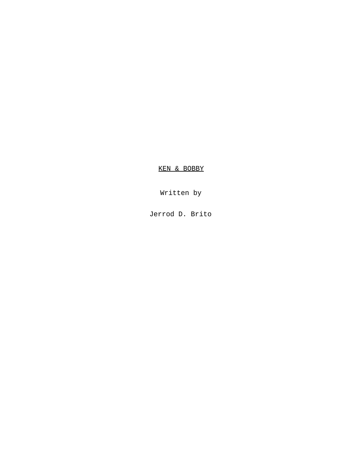KEN & BOBBY

Written by

Jerrod D. Brito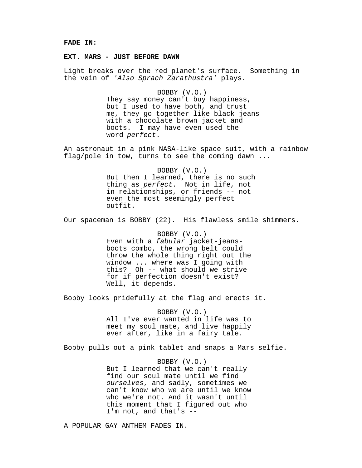#### **FADE IN:**

## **EXT. MARS - JUST BEFORE DAWN**

Light breaks over the red planet's surface. Something in the vein of 'Also Sprach Zarathustra' plays.

## BOBBY (V.O.)

They say money can't buy happiness, but I used to have both, and trust me, they go together like black jeans with a chocolate brown jacket and boots. I may have even used the word perfect.

An astronaut in a pink NASA-like space suit, with a rainbow flag/pole in tow, turns to see the coming dawn ...

> BOBBY (V.O.) But then I learned, there is no such thing as perfect. Not in life, not in relationships, or friends -- not even the most seemingly perfect outfit.

Our spaceman is BOBBY (22). His flawless smile shimmers.

BOBBY (V.O.) Even with a fabular jacket-jeansboots combo, the wrong belt could throw the whole thing right out the window ... where was I going with this? Oh -- what should we strive for if perfection doesn't exist? Well, it depends.

Bobby looks pridefully at the flag and erects it.

## BOBBY (V.O.)

All I've ever wanted in life was to meet my soul mate, and live happily ever after, like in a fairy tale.

Bobby pulls out a pink tablet and snaps a Mars selfie.

#### BOBBY (V.O.)

But I learned that we can't really find our soul mate until we find ourselves, and sadly, sometimes we can't know who we are until we know who we're not. And it wasn't until this moment that I figured out who I'm not, and that's --

A POPULAR GAY ANTHEM FADES IN.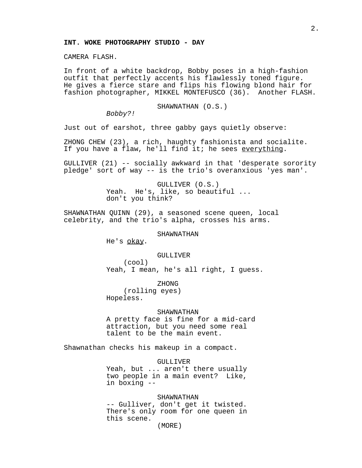## **INT. WOKE PHOTOGRAPHY STUDIO - DAY**

CAMERA FLASH.

In front of a white backdrop, Bobby poses in a high-fashion outfit that perfectly accents his flawlessly toned figure. He gives a fierce stare and flips his flowing blond hair for fashion photographer, MIKKEL MONTEFUSCO (36). Another FLASH.

SHAWNATHAN (O.S.)

Bobby?!

Just out of earshot, three gabby gays quietly observe:

ZHONG CHEW (23), a rich, haughty fashionista and socialite. If you have a flaw, he'll find it; he sees everything.

GULLIVER (21) -- socially awkward in that 'desperate sorority pledge' sort of way -- is the trio's overanxious 'yes man'.

> GULLIVER (O.S.) Yeah. He's, like, so beautiful ... don't you think?

SHAWNATHAN QUINN (29), a seasoned scene queen, local celebrity, and the trio's alpha, crosses his arms.

#### SHAWNATHAN

He's okay.

#### GULLIVER

(cool) Yeah, I mean, he's all right, I guess.

ZHONG

(rolling eyes) Hopeless.

## SHAWNATHAN

A pretty face is fine for a mid-card attraction, but you need some real talent to be the main event.

Shawnathan checks his makeup in a compact.

GULLIVER

Yeah, but ... aren't there usually two people in a main event? Like, in boxing --

#### SHAWNATHAN

-- Gulliver, don't get it twisted. There's only room for one queen in this scene.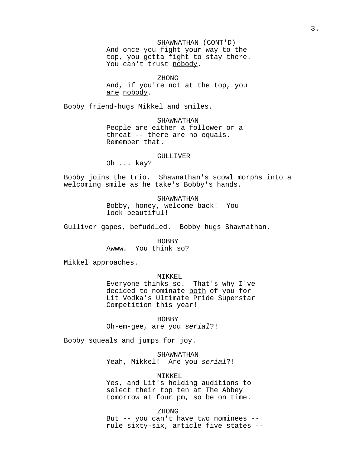SHAWNATHAN (CONT'D) And once you fight your way to the top, you gotta fight to stay there. You can't trust nobody.

ZHONG And, if you're not at the top, you are nobody.

Bobby friend-hugs Mikkel and smiles.

SHAWNATHAN People are either a follower or a threat -- there are no equals. Remember that.

# GULLIVER

Oh ... kay?

Bobby joins the trio. Shawnathan's scowl morphs into a welcoming smile as he take's Bobby's hands.

> SHAWNATHAN Bobby, honey, welcome back! You look beautiful!

Gulliver gapes, befuddled. Bobby hugs Shawnathan.

BOBBY Awww. You think so?

Mikkel approaches.

MIKKEL

Everyone thinks so. That's why I've decided to nominate both of you for Lit Vodka's Ultimate Pride Superstar Competition this year!

BOBBY Oh-em-gee, are you serial?!

Bobby squeals and jumps for joy.

SHAWNATHAN Yeah, Mikkel! Are you serial?!

MIKKEL Yes, and Lit's holding auditions to select their top ten at The Abbey tomorrow at four pm, so be on time.

ZHONG But -- you can't have two nominees - rule sixty-six, article five states --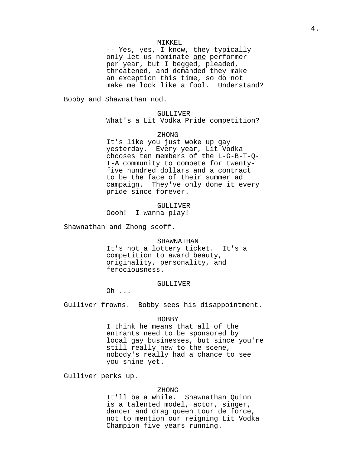## MIKKEL

-- Yes, yes, I know, they typically only let us nominate one performer per year, but I begged, pleaded, threatened, and demanded they make an exception this time, so do not make me look like a fool. Understand?

Bobby and Shawnathan nod.

#### GULLIVER

What's a Lit Vodka Pride competition?

#### ZHONG

It's like you just woke up gay yesterday. Every year, Lit Vodka chooses ten members of the L-G-B-T-Q-I-A community to compete for twentyfive hundred dollars and a contract to be the face of their summer ad campaign. They've only done it every pride since forever.

GULLIVER Oooh! I wanna play!

Shawnathan and Zhong scoff.

#### SHAWNATHAN

It's not a lottery ticket. It's a competition to award beauty, originality, personality, and ferociousness.

#### GULLIVER

Oh ...

Gulliver frowns. Bobby sees his disappointment.

#### BOBBY

I think he means that all of the entrants need to be sponsored by local gay businesses, but since you're still really new to the scene, nobody's really had a chance to see you shine yet.

Gulliver perks up.

## ZHONG

It'll be a while. Shawnathan Quinn is a talented model, actor, singer, dancer and drag queen tour de force, not to mention our reigning Lit Vodka Champion five years running.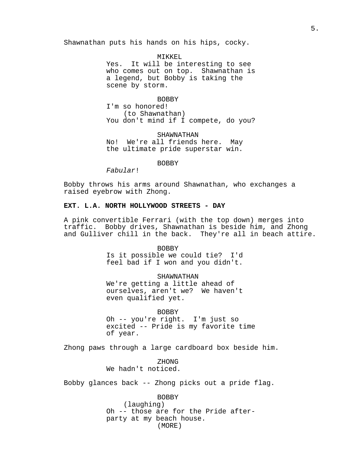Shawnathan puts his hands on his hips, cocky.

MIKKEL Yes. It will be interesting to see who comes out on top. Shawnathan is a legend, but Bobby is taking the scene by storm.

BOBBY I'm so honored! (to Shawnathan) You don't mind if I compete, do you?

SHAWNATHAN No! We're all friends here. May the ultimate pride superstar win.

BOBBY

Fabular!

Bobby throws his arms around Shawnathan, who exchanges a raised eyebrow with Zhong.

## **EXT. L.A. NORTH HOLLYWOOD STREETS - DAY**

A pink convertible Ferrari (with the top down) merges into traffic. Bobby drives, Shawnathan is beside him, and Zhong and Gulliver chill in the back. They're all in beach attire.

> BOBBY Is it possible we could tie? I'd feel bad if I won and you didn't.

> SHAWNATHAN We're getting a little ahead of ourselves, aren't we? We haven't even qualified yet.

BOBBY Oh -- you're right. I'm just so excited -- Pride is my favorite time of year.

Zhong paws through a large cardboard box beside him.

ZHONG We hadn't noticed.

Bobby glances back -- Zhong picks out a pride flag.

BOBBY (laughing) Oh -- those are for the Pride afterparty at my beach house. (MORE)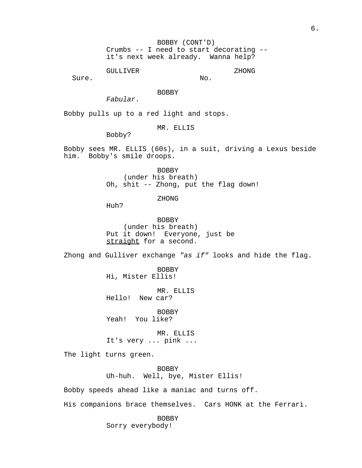GULLIVER

No.

ZHONG

Sure.

BOBBY

Fabular.

Bobby pulls up to a red light and stops.

MR. ELLIS

Bobby?

Bobby sees MR. ELLIS (60s), in a suit, driving a Lexus beside him. Bobby's smile droops.

> BOBBY (under his breath) Oh, shit -- Zhong, put the flag down!

> > ZHONG

Huh?

BOBBY (under his breath) Put it down! Everyone, just be straight for a second.

Zhong and Gulliver exchange "as if" looks and hide the flag.

BOBBY Hi, Mister Ellis!

MR. ELLIS Hello! New car?

BOBBY Yeah! You like?

MR. ELLIS It's very ... pink ...

The light turns green.

BOBBY Uh-huh. Well, bye, Mister Ellis!

Bobby speeds ahead like a maniac and turns off.

His companions brace themselves. Cars HONK at the Ferrari.

BOBBY Sorry everybody!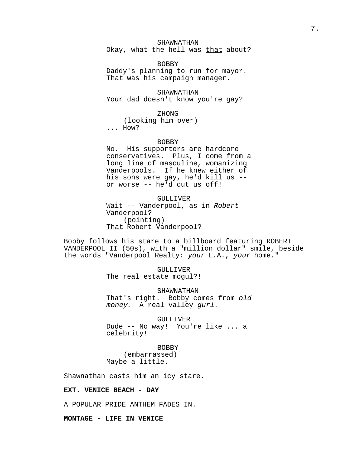# SHAWNATHAN

Okay, what the hell was that about?

BOBBY Daddy's planning to run for mayor. That was his campaign manager.

**SHAWNATHAN** Your dad doesn't know you're gay?

ZHONG

(looking him over) ... How?

#### BOBBY

No. His supporters are hardcore conservatives. Plus, I come from a long line of masculine, womanizing Vanderpools. If he knew either of his sons were gay, he'd kill us - or worse -- he'd cut us off!

GULLIVER Wait -- Vanderpool, as in Robert Vanderpool? (pointing) That Robert Vanderpool?

Bobby follows his stare to a billboard featuring ROBERT VANDERPOOL II (50s), with a "million dollar" smile, beside the words "Vanderpool Realty: your L.A., your home."

#### GULLIVER

The real estate mogul?!

SHAWNATHAN

That's right. Bobby comes from old money. A real valley gurl.

GULLIVER Dude -- No way! You're like ... a celebrity!

BOBBY

(embarrassed) Maybe a little.

Shawnathan casts him an icy stare.

## **EXT. VENICE BEACH - DAY**

A POPULAR PRIDE ANTHEM FADES IN.

**MONTAGE - LIFE IN VENICE**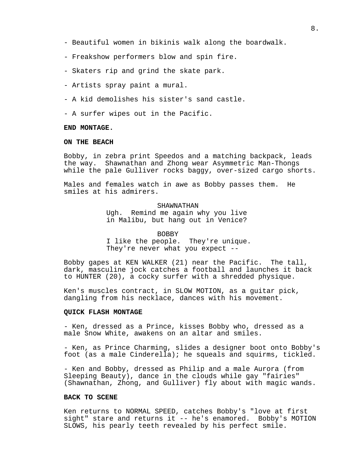- Beautiful women in bikinis walk along the boardwalk.
- Freakshow performers blow and spin fire.
- Skaters rip and grind the skate park.
- Artists spray paint a mural.
- A kid demolishes his sister's sand castle.
- A surfer wipes out in the Pacific.

#### **END MONTAGE.**

## **ON THE BEACH**

Bobby, in zebra print Speedos and a matching backpack, leads the way. Shawnathan and Zhong wear Asymmetric Man-Thongs while the pale Gulliver rocks baggy, over-sized cargo shorts.

Males and females watch in awe as Bobby passes them. He smiles at his admirers.

## SHAWNATHAN

Ugh. Remind me again why you live in Malibu, but hang out in Venice?

## BOBBY

I like the people. They're unique. They're never what you expect --

Bobby gapes at KEN WALKER (21) near the Pacific. The tall, dark, masculine jock catches a football and launches it back to HUNTER (20), a cocky surfer with a shredded physique.

Ken's muscles contract, in SLOW MOTION, as a guitar pick, dangling from his necklace, dances with his movement.

## **QUICK FLASH MONTAGE**

- Ken, dressed as a Prince, kisses Bobby who, dressed as a male Snow White, awakens on an altar and smiles.

- Ken, as Prince Charming, slides a designer boot onto Bobby's foot (as a male Cinderella); he squeals and squirms, tickled.

- Ken and Bobby, dressed as Philip and a male Aurora (from Sleeping Beauty), dance in the clouds while gay "fairies" (Shawnathan, Zhong, and Gulliver) fly about with magic wands.

## **BACK TO SCENE**

Ken returns to NORMAL SPEED, catches Bobby's "love at first sight" stare and returns it -- he's enamored. Bobby's MOTION SLOWS, his pearly teeth revealed by his perfect smile.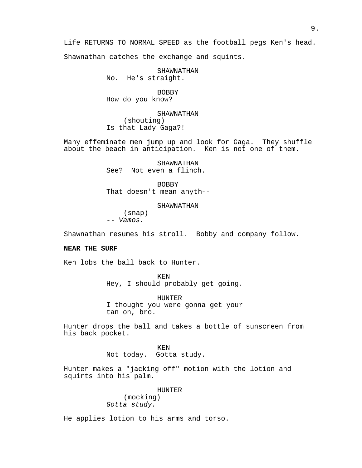Life RETURNS TO NORMAL SPEED as the football pegs Ken's head.

Shawnathan catches the exchange and squints.

SHAWNATHAN

No. He's straight.

BOBBY How do you know?

SHAWNATHAN

(shouting) Is that Lady Gaga?!

Many effeminate men jump up and look for Gaga. They shuffle about the beach in anticipation. Ken is not one of them.

> SHAWNATHAN See? Not even a flinch.

BOBBY That doesn't mean anyth--

SHAWNATHAN

(snap) -- Vamos.

Shawnathan resumes his stroll. Bobby and company follow.

## **NEAR THE SURF**

Ken lobs the ball back to Hunter.

KEN Hey, I should probably get going.

HUNTER I thought you were gonna get your tan on, bro.

Hunter drops the ball and takes a bottle of sunscreen from his back pocket.

> KEN Not today. Gotta study.

Hunter makes a "jacking off" motion with the lotion and squirts into his palm.

> HUNTER (mocking) Gotta study.

He applies lotion to his arms and torso.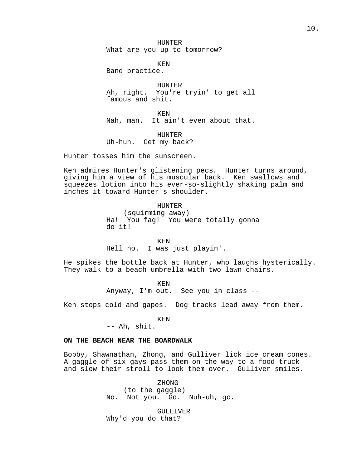HUNTER What are you up to tomorrow?

KEN

Band practice.

HUNTER Ah, right. You're tryin' to get all famous and shit.

KEN Nah, man. It ain't even about that.

HUNTER Uh-huh. Get my back?

Hunter tosses him the sunscreen.

Ken admires Hunter's glistening pecs. Hunter turns around, giving him a view of his muscular back. Ken swallows and squeezes lotion into his ever-so-slightly shaking palm and inches it toward Hunter's shoulder.

#### HUNTER

(squirming away) Ha! You fag! You were totally gonna do it!

KEN

Hell no. I was just playin'.

He spikes the bottle back at Hunter, who laughs hysterically. They walk to a beach umbrella with two lawn chairs.

> KEN Anyway, I'm out. See you in class --

Ken stops cold and gapes. Dog tracks lead away from them.

KEN

-- Ah, shit.

# **ON THE BEACH NEAR THE BOARDWALK**

Bobby, Shawnathan, Zhong, and Gulliver lick ice cream cones. A gaggle of six gays pass them on the way to a food truck and slow their stroll to look them over. Gulliver smiles.

> ZHONG (to the gaggle) No. Not you. Go. Nuh-uh, go.

GULLIVER Why'd you do that?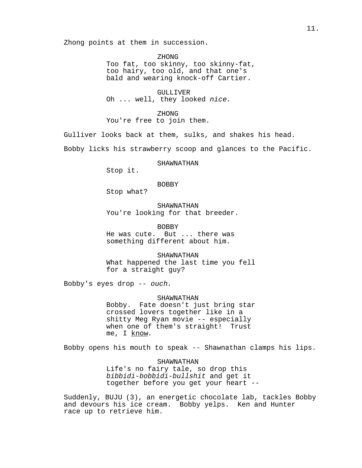Zhong points at them in succession.

ZHONG Too fat, too skinny, too skinny-fat, too hairy, too old, and that one's bald and wearing knock-off Cartier.

GULLIJTVER Oh ... well, they looked nice.

ZHONG You're free to join them.

Gulliver looks back at them, sulks, and shakes his head.

Bobby licks his strawberry scoop and glances to the Pacific.

SHAWNATHAN

Stop it.

BOBBY

Stop what?

SHAWNATHAN You're looking for that breeder.

BOBBY He was cute. But ... there was something different about him.

SHAWNATHAN What happened the last time you fell for a straight guy?

Bobby's eyes drop -- ouch.

SHAWNATHAN Bobby. Fate doesn't just bring star crossed lovers together like in a shitty Meg Ryan movie -- especially when one of them's straight! Trust me, I know.

Bobby opens his mouth to speak -- Shawnathan clamps his lips.

SHAWNATHAN Life's no fairy tale, so drop this bibbidi-bobbidi-bullshit and get it together before you get your heart --

Suddenly, BUJU (3), an energetic chocolate lab, tackles Bobby and devours his ice cream. Bobby yelps. Ken and Hunter race up to retrieve him.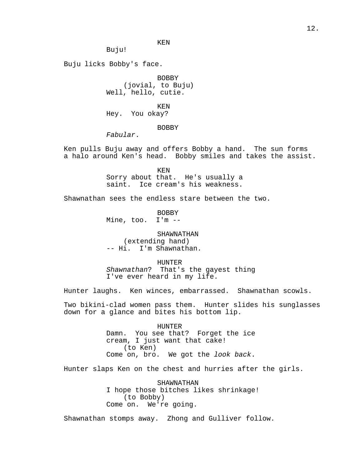KEN

Buju!

Buju licks Bobby's face.

BOBBY (jovial, to Buju) Well, hello, cutie.

KEN Hey. You okay?

#### BOBBY

Fabular.

Ken pulls Buju away and offers Bobby a hand. The sun forms a halo around Ken's head. Bobby smiles and takes the assist.

> KEN Sorry about that. He's usually a saint. Ice cream's his weakness.

Shawnathan sees the endless stare between the two.

BOBBY Mine, too. I'm --

SHAWNATHAN (extending hand) -- Hi. I'm Shawnathan.

HUNTER Shawnathan? That's the gayest thing I've ever heard in my life.

Hunter laughs. Ken winces, embarrassed. Shawnathan scowls.

Two bikini-clad women pass them. Hunter slides his sunglasses down for a glance and bites his bottom lip.

> HUNTER Damn. You see that? Forget the ice cream, I just want that cake! (to Ken) Come on, bro. We got the look back.

Hunter slaps Ken on the chest and hurries after the girls.

SHAWNATHAN I hope those bitches likes shrinkage! (to Bobby) Come on. We're going.

Shawnathan stomps away. Zhong and Gulliver follow.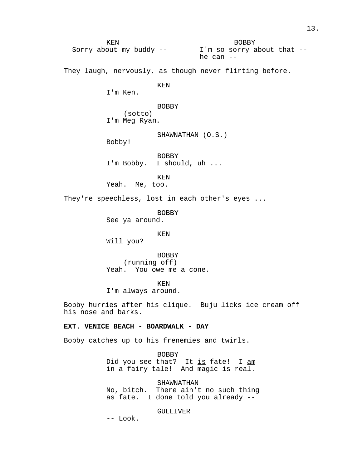KEN Sorry about my buddy -- I'm so sorry about that -- BOBBY he can -- They laugh, nervously, as though never flirting before. KEN I'm Ken. BOBBY (sotto) I'm Meg Ryan. SHAWNATHAN (O.S.) Bobby! BOBBY I'm Bobby. I should, uh ... KEN Yeah. Me, too. They're speechless, lost in each other's eyes ... BOBBY See ya around. KEN Will you? BOBBY (running off) Yeah. You owe me a cone. KEN I'm always around. Bobby hurries after his clique. Buju licks ice cream off his nose and barks. **EXT. VENICE BEACH - BOARDWALK - DAY** Bobby catches up to his frenemies and twirls. BOBBY Did you see that? It is fate! I am in a fairy tale! And magic is real. SHAWNATHAN No, bitch. There ain't no such thing

as fate. I done told you already --

GULLIVER

-- Look.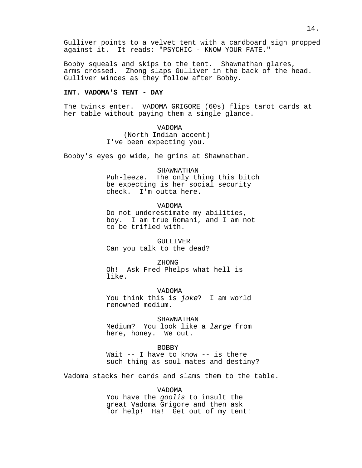Gulliver points to a velvet tent with a cardboard sign propped against it. It reads: "PSYCHIC - KNOW YOUR FATE."

Bobby squeals and skips to the tent. Shawnathan glares, arms crossed. Zhong slaps Gulliver in the back of the head. Gulliver winces as they follow after Bobby.

# **INT. VADOMA'S TENT - DAY**

The twinks enter. VADOMA GRIGORE (60s) flips tarot cards at her table without paying them a single glance.

> VADOMA (North Indian accent) I've been expecting you.

Bobby's eyes go wide, he grins at Shawnathan.

SHAWNATHAN Puh-leeze. The only thing this bitch be expecting is her social security check. I'm outta here.

#### VADOMA

Do not underestimate my abilities, boy. I am true Romani, and I am not to be trifled with.

GULLIVER Can you talk to the dead?

ZHONG Oh! Ask Fred Phelps what hell is like.

VADOMA You think this is joke? I am world renowned medium.

SHAWNATHAN Medium? You look like a large from here, honey. We out.

## BOBBY

Wait -- I have to know -- is there such thing as soul mates and destiny?

Vadoma stacks her cards and slams them to the table.

VADOMA

You have the goolis to insult the great Vadoma Grigore and then ask for help! Ha! Get out of my tent!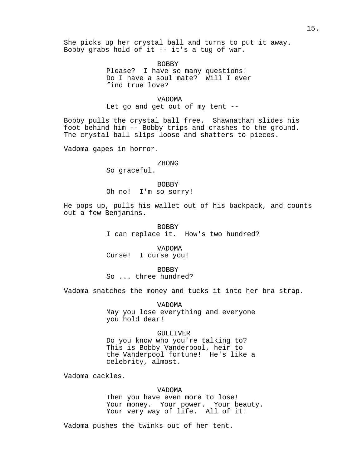She picks up her crystal ball and turns to put it away. Bobby grabs hold of it -- it's a tug of war.

> BOBBY Please? I have so many questions! Do I have a soul mate? Will I ever find true love?

> > VADOMA

Let go and get out of my tent --

Bobby pulls the crystal ball free. Shawnathan slides his foot behind him -- Bobby trips and crashes to the ground. The crystal ball slips loose and shatters to pieces.

Vadoma gapes in horror.

## ZHONG

So graceful.

BOBBY Oh no! I'm so sorry!

He pops up, pulls his wallet out of his backpack, and counts out a few Benjamins.

> BOBBY I can replace it. How's two hundred?

VADOMA Curse! I curse you!

BOBBY

So ... three hundred?

Vadoma snatches the money and tucks it into her bra strap.

VADOMA May you lose everything and everyone you hold dear!

## GULLIVER

Do you know who you're talking to? This is Bobby Vanderpool, heir to the Vanderpool fortune! He's like a celebrity, almost.

Vadoma cackles.

# VADOMA

Then you have even more to lose! Your money. Your power. Your beauty. Your very way of life. All of it!

Vadoma pushes the twinks out of her tent.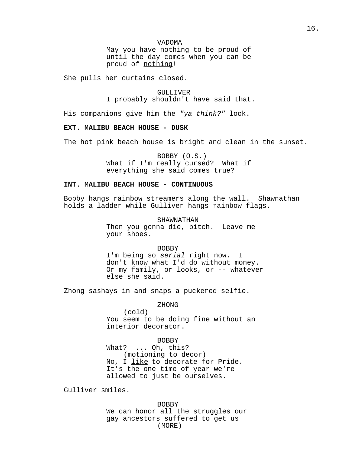May you have nothing to be proud of until the day comes when you can be proud of nothing!

She pulls her curtains closed.

GULLIJTVER I probably shouldn't have said that.

His companions give him the "ya think?" look.

# **EXT. MALIBU BEACH HOUSE - DUSK**

The hot pink beach house is bright and clean in the sunset.

BOBBY (O.S.) What if I'm really cursed? What if everything she said comes true?

## **INT. MALIBU BEACH HOUSE - CONTINUOUS**

Bobby hangs rainbow streamers along the wall. Shawnathan holds a ladder while Gulliver hangs rainbow flags.

> SHAWNATHAN Then you gonna die, bitch. Leave me your shoes.

BOBBY I'm being so serial right now. I don't know what I'd do without money. Or my family, or looks, or -- whatever else she said.

Zhong sashays in and snaps a puckered selfie.

ZHONG (cold) You seem to be doing fine without an interior decorator.

## BOBBY

What? ... Oh, this? (motioning to decor) No, I like to decorate for Pride. It's the one time of year we're allowed to just be ourselves.

Gulliver smiles.

BOBBY We can honor all the struggles our gay ancestors suffered to get us (MORE)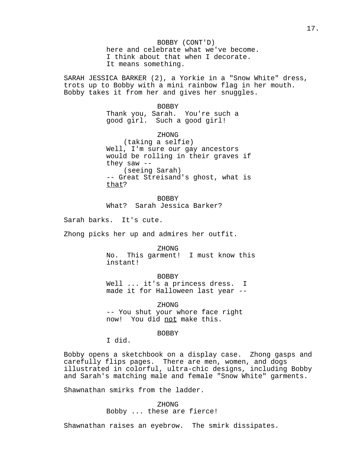BOBBY (CONT'D) here and celebrate what we've become. I think about that when I decorate. It means something.

SARAH JESSICA BARKER (2), a Yorkie in a "Snow White" dress, trots up to Bobby with a mini rainbow flag in her mouth. Bobby takes it from her and gives her snuggles.

BOBBY

Thank you, Sarah. You're such a good girl. Such a good girl!

ZHONG

(taking a selfie) Well, I'm sure our gay ancestors would be rolling in their graves if they saw -- (seeing Sarah) -- Great Streisand's ghost, what is that?

BOBBY What? Sarah Jessica Barker?

Sarah barks. It's cute.

Zhong picks her up and admires her outfit.

ZHONG No. This garment! I must know this instant!

BOBBY Well ... it's a princess dress. I made it for Halloween last year --

ZHONG -- You shut your whore face right now! You did not make this.

BOBBY

I did.

Bobby opens a sketchbook on a display case. Zhong gasps and carefully flips pages. There are men, women, and dogs illustrated in colorful, ultra-chic designs, including Bobby and Sarah's matching male and female "Snow White" garments.

Shawnathan smirks from the ladder.

ZHONG Bobby ... these are fierce!

Shawnathan raises an eyebrow. The smirk dissipates.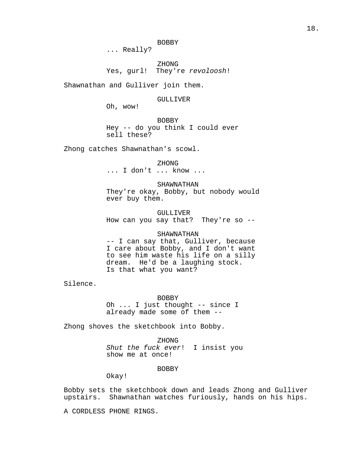... Really?

ZHONG Yes, gurl! They're revoloosh!

Shawnathan and Gulliver join them.

## GULLIVER

Oh, wow!

BOBBY Hey -- do you think I could ever sell these?

Zhong catches Shawnathan's scowl.

ZHONG ... I don't ... know ...

SHAWNATHAN

They're okay, Bobby, but nobody would ever buy them.

GULLIVER How can you say that? They're so --

## SHAWNATHAN

-- I can say that, Gulliver, because I care about Bobby, and I don't want to see him waste his life on a silly dream. He'd be a laughing stock. Is that what you want?

Silence.

BOBBY

Oh ... I just thought -- since I already made some of them --

Zhong shoves the sketchbook into Bobby.

ZHONG

Shut the fuck ever! I insist you show me at once!

## BOBBY

Okay!

Bobby sets the sketchbook down and leads Zhong and Gulliver upstairs. Shawnathan watches furiously, hands on his hips.

A CORDLESS PHONE RINGS.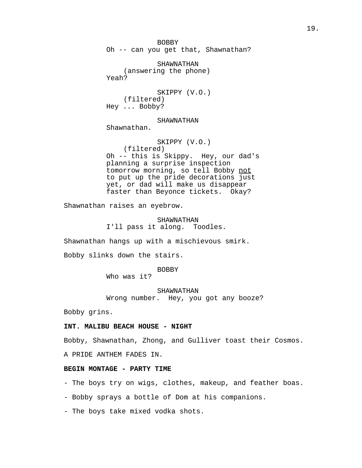BOBBY Oh -- can you get that, Shawnathan?

SHAWNATHAN (answering the phone) Yeah?

SKIPPY (V.O.) (filtered) Hey ... Bobby?

SHAWNATHAN

Shawnathan.

SKIPPY (V.O.) (filtered) Oh -- this is Skippy. Hey, our dad's planning a surprise inspection tomorrow morning, so tell Bobby not to put up the pride decorations just yet, or dad will make us disappear faster than Beyonce tickets. Okay?

Shawnathan raises an eyebrow.

SHAWNATHAN I'll pass it along. Toodles.

Shawnathan hangs up with a mischievous smirk.

Bobby slinks down the stairs.

BOBBY

Who was it?

SHAWNATHAN

Wrong number. Hey, you got any booze?

Bobby grins.

## **INT. MALIBU BEACH HOUSE - NIGHT**

Bobby, Shawnathan, Zhong, and Gulliver toast their Cosmos.

A PRIDE ANTHEM FADES IN.

# **BEGIN MONTAGE - PARTY TIME**

- The boys try on wigs, clothes, makeup, and feather boas.

- Bobby sprays a bottle of Dom at his companions.

- The boys take mixed vodka shots.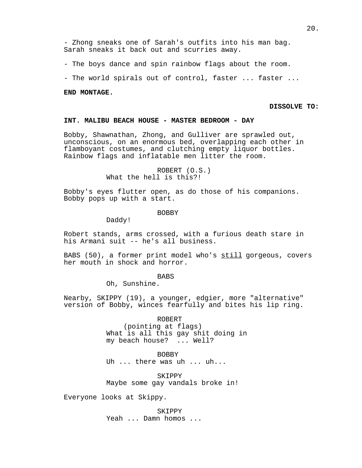- Zhong sneaks one of Sarah's outfits into his man bag. Sarah sneaks it back out and scurries away.

- The boys dance and spin rainbow flags about the room.

- The world spirals out of control, faster ... faster ...

#### **END MONTAGE.**

## **DISSOLVE TO:**

# **INT. MALIBU BEACH HOUSE - MASTER BEDROOM - DAY**

Bobby, Shawnathan, Zhong, and Gulliver are sprawled out, unconscious, on an enormous bed, overlapping each other in flamboyant costumes, and clutching empty liquor bottles. Rainbow flags and inflatable men litter the room.

# ROBERT (O.S.) What the hell is this?!

Bobby's eyes flutter open, as do those of his companions. Bobby pops up with a start.

#### **BOBBY**

Daddy!

Robert stands, arms crossed, with a furious death stare in his Armani suit -- he's all business.

BABS (50), a former print model who's still gorgeous, covers her mouth in shock and horror.

**BABS** 

Oh, Sunshine.

Nearby, SKIPPY (19), a younger, edgier, more "alternative" version of Bobby, winces fearfully and bites his lip ring.

> ROBERT (pointing at flags) What is all this gay shit doing in my beach house? ... Well?

BOBBY Uh ... there was uh ... uh...

SKIPPY Maybe some gay vandals broke in!

Everyone looks at Skippy.

SKIPPY Yeah ... Damn homos ...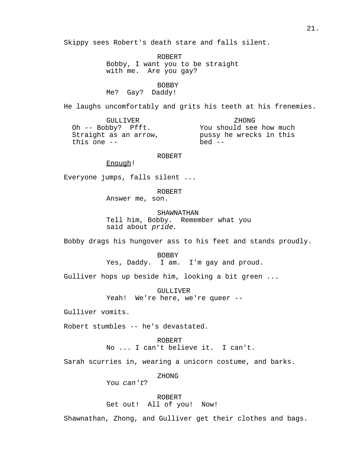Skippy sees Robert's death stare and falls silent.

ROBERT Bobby, I want you to be straight with me. Are you gay?

BOBBY Me? Gay? Daddy!

He laughs uncomfortably and grits his teeth at his frenemies.

GULLIVER Oh -- Bobby? Pfft. Straight as an arrow, this one -- ZHONG You should see how much pussy he wrecks in this  $bed$  --

ROBERT

Enough!

Everyone jumps, falls silent ...

ROBERT

Answer me, son.

SHAWNATHAN

Tell him, Bobby. Remember what you said about pride.

Bobby drags his hungover ass to his feet and stands proudly.

BOBBY Yes, Daddy. I am. I'm gay and proud.

Gulliver hops up beside him, looking a bit green ...

GULLIVER Yeah! We're here, we're queer --

Gulliver vomits.

Robert stumbles -- he's devastated.

ROBERT No ... I can't believe it. I can't.

Sarah scurries in, wearing a unicorn costume, and barks.

ZHONG

You can't?

ROBERT Get out! All of you! Now!

Shawnathan, Zhong, and Gulliver get their clothes and bags.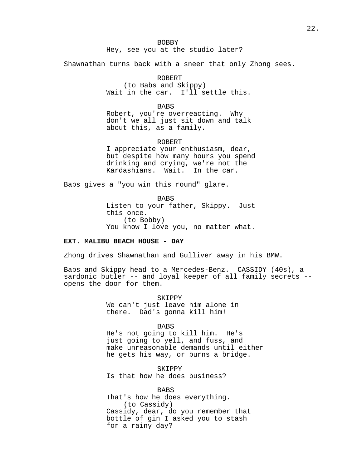BOBBY Hey, see you at the studio later?

Shawnathan turns back with a sneer that only Zhong sees.

ROBERT

(to Babs and Skippy) Wait in the car. I'll settle this.

**BABS** 

Robert, you're overreacting. Why don't we all just sit down and talk about this, as a family.

ROBERT

I appreciate your enthusiasm, dear, but despite how many hours you spend drinking and crying, we're not the Kardashians. Wait. In the car.

Babs gives a "you win this round" glare.

BABS Listen to your father, Skippy. Just this once. (to Bobby) You know I love you, no matter what.

# **EXT. MALIBU BEACH HOUSE - DAY**

Zhong drives Shawnathan and Gulliver away in his BMW.

Babs and Skippy head to a Mercedes-Benz. CASSIDY (40s), a sardonic butler -- and loyal keeper of all family secrets - opens the door for them.

> SKIPPY We can't just leave him alone in there. Dad's gonna kill him!

> > **BABS**

He's not going to kill him. He's just going to yell, and fuss, and make unreasonable demands until either he gets his way, or burns a bridge.

SKIPPY Is that how he does business?

BABS That's how he does everything. (to Cassidy) Cassidy, dear, do you remember that bottle of gin I asked you to stash for a rainy day?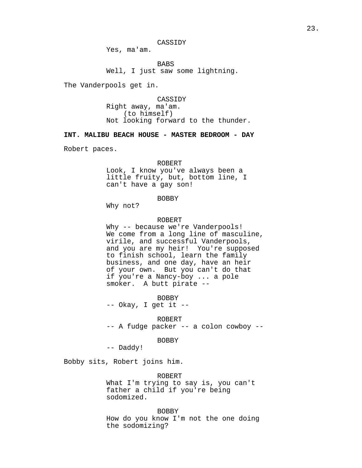CASSIDY

Yes, ma'am.

BABS Well, I just saw some lightning.

The Vanderpools get in.

CASSIDY Right away, ma'am. (to himself) Not looking forward to the thunder.

**INT. MALIBU BEACH HOUSE - MASTER BEDROOM - DAY**

Robert paces.

#### ROBERT

Look, I know you've always been a little fruity, but, bottom line, I can't have a gay son!

# BOBBY

Why not?

#### ROBERT

Why -- because we're Vanderpools! We come from a long line of masculine, virile, and successful Vanderpools, and you are my heir! You're supposed to finish school, learn the family business, and one day, have an heir of your own. But you can't do that if you're a Nancy-boy ... a pole smoker. A butt pirate --

BOBBY -- Okay, I get it --

ROBERT

-- A fudge packer -- a colon cowboy --

BOBBY

-- Daddy!

Bobby sits, Robert joins him.

ROBERT What I'm trying to say is, you can't father a child if you're being sodomized.

BOBBY How do you know I'm not the one doing the sodomizing?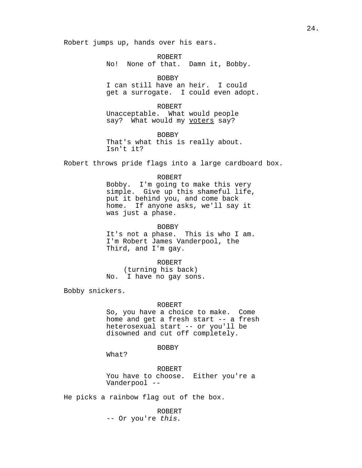Robert jumps up, hands over his ears.

ROBERT No! None of that. Damn it, Bobby.

BOBBY

I can still have an heir. I could get a surrogate. I could even adopt.

ROBERT Unacceptable. What would people say? What would my voters say?

BOBBY That's what this is really about. Isn't it?

Robert throws pride flags into a large cardboard box.

ROBERT Bobby. I'm going to make this very simple. Give up this shameful life, put it behind you, and come back home. If anyone asks, we'll say it was just a phase.

BOBBY It's not a phase. This is who I am. I'm Robert James Vanderpool, the Third, and I'm gay.

ROBERT (turning his back) No. I have no gay sons.

Bobby snickers.

ROBERT

So, you have a choice to make. Come home and get a fresh start -- a fresh heterosexual start -- or you'll be disowned and cut off completely.

## BOBBY

What?

ROBERT You have to choose. Either you're a Vanderpool --

He picks a rainbow flag out of the box.

ROBERT -- Or you're this.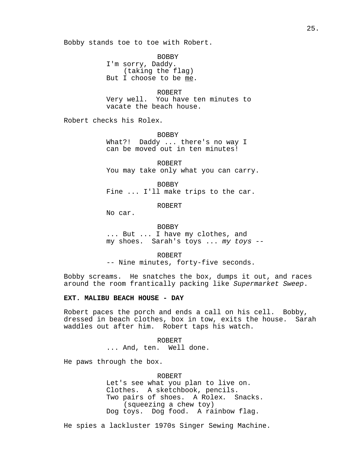Bobby stands toe to toe with Robert.

BOBBY I'm sorry, Daddy. (taking the flag) But I choose to be me.

ROBERT Very well. You have ten minutes to vacate the beach house.

Robert checks his Rolex.

BOBBY What?! Daddy ... there's no way I can be moved out in ten minutes!

ROBERT You may take only what you can carry.

BOBBY Fine ... I'll make trips to the car.

ROBERT

No car.

BOBBY ... But ... I have my clothes, and my shoes. Sarah's toys ... my toys --

ROBERT -- Nine minutes, forty-five seconds.

Bobby screams. He snatches the box, dumps it out, and races around the room frantically packing like Supermarket Sweep.

## **EXT. MALIBU BEACH HOUSE - DAY**

Robert paces the porch and ends a call on his cell. Bobby, dressed in beach clothes, box in tow, exits the house. Sarah waddles out after him. Robert taps his watch.

> ROBERT ... And, ten. Well done.

He paws through the box.

ROBERT Let's see what you plan to live on. Clothes. A sketchbook, pencils. Two pairs of shoes. A Rolex. Snacks. (squeezing a chew toy) Dog toys. Dog food. A rainbow flag.

He spies a lackluster 1970s Singer Sewing Machine.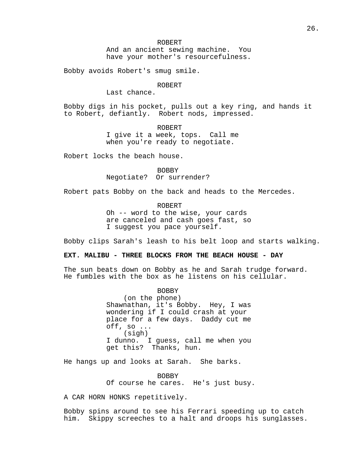ROBERT And an ancient sewing machine. You have your mother's resourcefulness.

Bobby avoids Robert's smug smile.

#### ROBERT

Last chance.

Bobby digs in his pocket, pulls out a key ring, and hands it to Robert, defiantly. Robert nods, impressed.

> ROBERT I give it a week, tops. Call me when you're ready to negotiate.

Robert locks the beach house.

BOBBY Negotiate? Or surrender?

Robert pats Bobby on the back and heads to the Mercedes.

ROBERT

Oh -- word to the wise, your cards are canceled and cash goes fast, so I suggest you pace yourself.

Bobby clips Sarah's leash to his belt loop and starts walking.

# **EXT. MALIBU - THREE BLOCKS FROM THE BEACH HOUSE - DAY**

The sun beats down on Bobby as he and Sarah trudge forward. He fumbles with the box as he listens on his cellular.

> BOBBY (on the phone) Shawnathan, it's Bobby. Hey, I was wondering if I could crash at your place for a few days. Daddy cut me off, so ... (sigh) I dunno. I guess, call me when you get this? Thanks, hun.

He hangs up and looks at Sarah. She barks.

BOBBY Of course he cares. He's just busy.

A CAR HORN HONKS repetitively.

Bobby spins around to see his Ferrari speeding up to catch him. Skippy screeches to a halt and droops his sunglasses.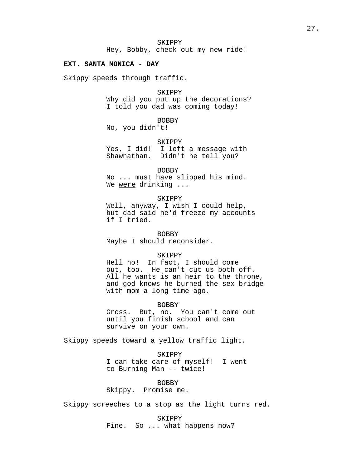Hey, Bobby, check out my new ride!

#### **EXT. SANTA MONICA - DAY**

Skippy speeds through traffic.

**SKIPPY** 

Why did you put up the decorations? I told you dad was coming today!

BOBBY

No, you didn't!

SKIPPY Yes, I did! I left a message with

Shawnathan. Didn't he tell you?

BOBBY

No ... must have slipped his mind. We were drinking ...

SKIPPY

Well, anyway, I wish I could help, but dad said he'd freeze my accounts if I tried.

BOBBY Maybe I should reconsider.

## SKIPPY

Hell no! In fact, I should come out, too. He can't cut us both off. All he wants is an heir to the throne, and god knows he burned the sex bridge with mom a long time ago.

BOBBY

Gross. But, no. You can't come out until you finish school and can survive on your own.

Skippy speeds toward a yellow traffic light.

SKIPPY I can take care of myself! I went to Burning Man -- twice!

BOBBY Skippy. Promise me.

Skippy screeches to a stop as the light turns red.

SKIPPY Fine. So ... what happens now?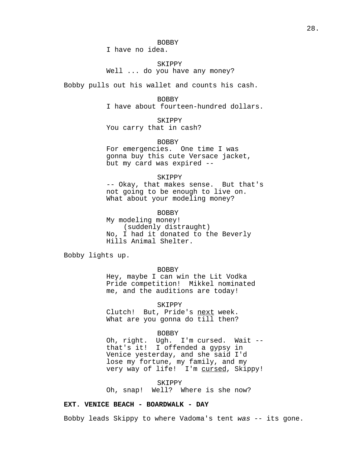## BOBBY

I have no idea.

# SKIPPY Well ... do you have any money?

Bobby pulls out his wallet and counts his cash.

#### BOBBY

I have about fourteen-hundred dollars.

# SKIPPY

You carry that in cash?

## BOBBY

For emergencies. One time I was gonna buy this cute Versace jacket, but my card was expired --

#### SKIPPY

-- Okay, that makes sense. But that's not going to be enough to live on. What about your modeling money?

#### BOBBY

My modeling money! (suddenly distraught) No, I had it donated to the Beverly Hills Animal Shelter.

Bobby lights up.

## BOBBY

Hey, maybe I can win the Lit Vodka Pride competition! Mikkel nominated me, and the auditions are today!

SKIPPY

Clutch! But, Pride's next week. What are you gonna do till then?

#### BOBBY

Oh, right. Ugh. I'm cursed. Wait - that's it! I offended a gypsy in Venice yesterday, and she said I'd lose my fortune, my family, and my very way of life! I'm cursed, Skippy!

#### SKIPPY

Oh, snap! Well? Where is she now?

# **EXT. VENICE BEACH - BOARDWALK - DAY**

Bobby leads Skippy to where Vadoma's tent was -- its gone.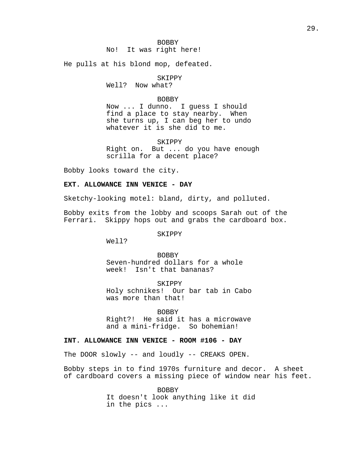He pulls at his blond mop, defeated.

# SKIPPY

Well? Now what?

#### BOBBY

Now ... I dunno. I guess I should find a place to stay nearby. When she turns up, I can beg her to undo whatever it is she did to me.

SKIPPY

Right on. But ... do you have enough scrilla for a decent place?

Bobby looks toward the city.

# **EXT. ALLOWANCE INN VENICE - DAY**

Sketchy-looking motel: bland, dirty, and polluted.

Bobby exits from the lobby and scoops Sarah out of the Ferrari. Skippy hops out and grabs the cardboard box.

# SKIPPY

Well?

#### BOBBY

Seven-hundred dollars for a whole week! Isn't that bananas?

SKIPPY Holy schnikes! Our bar tab in Cabo was more than that!

#### BOBBY

Right?! He said it has a microwave and a mini-fridge. So bohemian!

## **INT. ALLOWANCE INN VENICE - ROOM #106 - DAY**

The DOOR slowly -- and loudly -- CREAKS OPEN.

Bobby steps in to find 1970s furniture and decor. A sheet of cardboard covers a missing piece of window near his feet.

> BOBBY It doesn't look anything like it did in the pics ...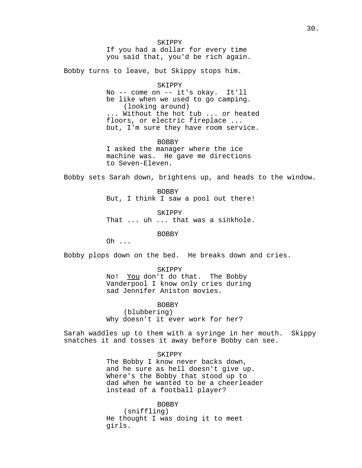SKIPPY If you had a dollar for every time you said that, you'd be rich again.

Bobby turns to leave, but Skippy stops him.

SKIPPY No -- come on -- it's okay. It'll be like when we used to go camping. (looking around) ... Without the hot tub ... or heated floors, or electric fireplace ... but, I'm sure they have room service.

BOBBY I asked the manager where the ice machine was. He gave me directions to Seven-Eleven.

Bobby sets Sarah down, brightens up, and heads to the window.

BOBBY But, I think I saw a pool out there!

SKIPPY

That ... uh ... that was a sinkhole.

BOBBY

Oh ...

Bobby plops down on the bed. He breaks down and cries.

## SKIPPY

No! You don't do that. The Bobby Vanderpool I know only cries during sad Jennifer Aniston movies.

BOBBY

(blubbering) Why doesn't it ever work for her?

Sarah waddles up to them with a syringe in her mouth. Skippy snatches it and tosses it away before Bobby can see.

## SKIPPY

The Bobby I know never backs down, and he sure as hell doesn't give up. Where's the Bobby that stood up to dad when he wanted to be a cheerleader instead of a football player?

# BOBBY

(sniffling) He thought I was doing it to meet girls.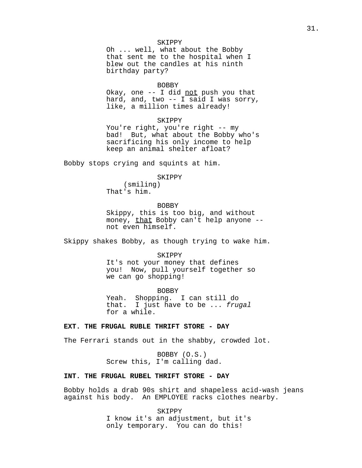## SKIPPY

Oh ... well, what about the Bobby that sent me to the hospital when I blew out the candles at his ninth birthday party?

#### BOBBY

Okay, one  $-$ - I did not push you that hard, and, two -- I said I was sorry, like, a million times already!

#### SKIPPY

You're right, you're right -- my bad! But, what about the Bobby who's sacrificing his only income to help keep an animal shelter afloat?

Bobby stops crying and squints at him.

# SKIPPY

(smiling) That's him.

#### BOBBY

Skippy, this is too big, and without money, that Bobby can't help anyone -not even himself.

Skippy shakes Bobby, as though trying to wake him.

#### SKIPPY

It's not your money that defines you! Now, pull yourself together so we can go shopping!

#### BOBBY

Yeah. Shopping. I can still do that. I just have to be ... frugal for a while.

## **EXT. THE FRUGAL RUBLE THRIFT STORE - DAY**

The Ferrari stands out in the shabby, crowded lot.

BOBBY (O.S.) Screw this, I'm calling dad.

## **INT. THE FRUGAL RUBEL THRIFT STORE - DAY**

Bobby holds a drab 90s shirt and shapeless acid-wash jeans against his body. An EMPLOYEE racks clothes nearby.

> SKIPPY I know it's an adjustment, but it's only temporary. You can do this!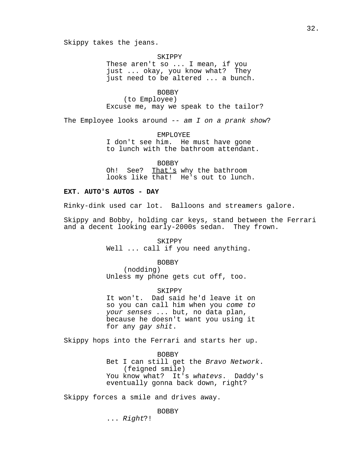Skippy takes the jeans.

SKIPPY

These aren't so ... I mean, if you just ... okay, you know what? They just need to be altered ... a bunch.

**BOBBY** 

(to Employee) Excuse me, may we speak to the tailor?

The Employee looks around  $--$  am  $I$  on a prank show?

EMPLOYEE I don't see him. He must have gone to lunch with the bathroom attendant.

BOBBY Oh! See? That's why the bathroom looks like that! He's out to lunch.

# **EXT. AUTO'S AUTOS - DAY**

Rinky-dink used car lot. Balloons and streamers galore.

Skippy and Bobby, holding car keys, stand between the Ferrari and a decent looking early-2000s sedan. They frown.

> SKIPPY Well ... call if you need anything.

> > BOBBY

(nodding) Unless my phone gets cut off, too.

SKIPPY

It won't. Dad said he'd leave it on so you can call him when you come to your senses ... but, no data plan, because he doesn't want you using it for any gay shit.

Skippy hops into the Ferrari and starts her up.

BOBBY Bet I can still get the Bravo Network. (feigned smile) You know what? It's whatevs. Daddy's eventually gonna back down, right?

Skippy forces a smile and drives away.

## BOBBY

... Right?!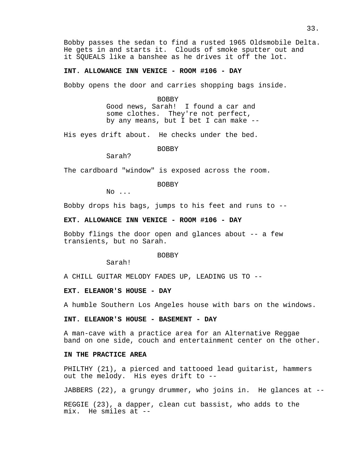Bobby passes the sedan to find a rusted 1965 Oldsmobile Delta. He gets in and starts it. Clouds of smoke sputter out and it SQUEALS like a banshee as he drives it off the lot.

## **INT. ALLOWANCE INN VENICE - ROOM #106 - DAY**

Bobby opens the door and carries shopping bags inside.

BOBBY Good news, Sarah! I found a car and some clothes. They're not perfect, by any means, but I bet I can make --

His eyes drift about. He checks under the bed.

BOBBY

Sarah?

The cardboard "window" is exposed across the room.

BOBBY

No ...

Bobby drops his bags, jumps to his feet and runs to --

**EXT. ALLOWANCE INN VENICE - ROOM #106 - DAY**

Bobby flings the door open and glances about -- a few transients, but no Sarah.

BOBBY

Sarah!

A CHILL GUITAR MELODY FADES UP, LEADING US TO --

## **EXT. ELEANOR'S HOUSE - DAY**

A humble Southern Los Angeles house with bars on the windows.

## **INT. ELEANOR'S HOUSE - BASEMENT - DAY**

A man-cave with a practice area for an Alternative Reggae band on one side, couch and entertainment center on the other.

# **IN THE PRACTICE AREA**

PHILTHY (21), a pierced and tattooed lead guitarist, hammers out the melody. His eyes drift to --

JABBERS (22), a grungy drummer, who joins in. He glances at --

REGGIE (23), a dapper, clean cut bassist, who adds to the mix. He smiles at --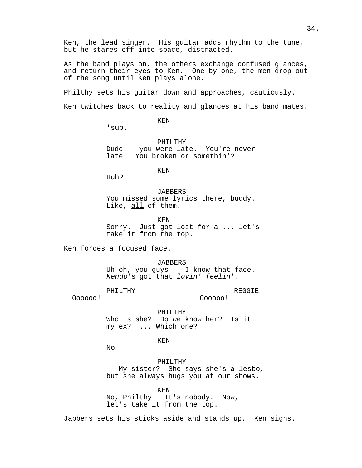Ken, the lead singer. His guitar adds rhythm to the tune, but he stares off into space, distracted.

As the band plays on, the others exchange confused glances, and return their eyes to Ken. One by one, the men drop out of the song until Ken plays alone.

Philthy sets his guitar down and approaches, cautiously.

Ken twitches back to reality and glances at his band mates.

KEN

'sup.

PHILTHY Dude -- you were late. You're never late. You broken or somethin'?

KEN

Huh?

*JABBERS* You missed some lyrics there, buddy. Like, all of them.

KEN Sorry. Just got lost for a ... let's take it from the top.

Ken forces a focused face.

*JABBERS* 

Uh-oh, you guys -- I know that face. Kendo's got that lovin' feelin'.

PHILTHY

REGGIE

Oooooo!

Oooooo!

PHILTHY Who is she? Do we know her? Is it my ex? ... Which one?

KEN

 $No$   $--$ 

PHILTHY -- My sister? She says she's a lesbo, but she always hugs you at our shows.

KEN

No, Philthy! It's nobody. Now, let's take it from the top.

Jabbers sets his sticks aside and stands up. Ken sighs.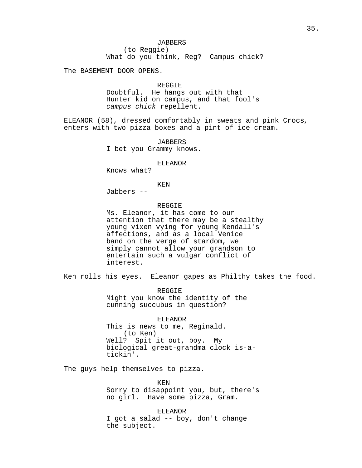The BASEMENT DOOR OPENS.

#### REGGIE

Doubtful. He hangs out with that Hunter kid on campus, and that fool's campus chick repellent.

ELEANOR (58), dressed comfortably in sweats and pink Crocs, enters with two pizza boxes and a pint of ice cream.

> JABBERS I bet you Grammy knows.

#### ELEANOR

Knows what?

# KEN

Jabbers --

## REGGIE

Ms. Eleanor, it has come to our attention that there may be a stealthy young vixen vying for young Kendall's affections, and as a local Venice band on the verge of stardom, we simply cannot allow your grandson to entertain such a vulgar conflict of interest.

Ken rolls his eyes. Eleanor gapes as Philthy takes the food.

REGGIE Might you know the identity of the cunning succubus in question?

ELEANOR This is news to me, Reginald. (to Ken) Well? Spit it out, boy. My biological great-grandma clock is-atickin'.

The guys help themselves to pizza.

KEN Sorry to disappoint you, but, there's no girl. Have some pizza, Gram.

ELEANOR I got a salad -- boy, don't change the subject.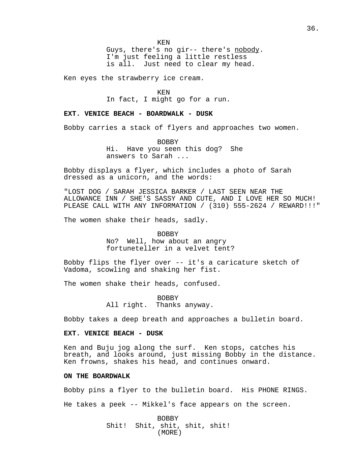Guys, there's no gir-- there's nobody. I'm just feeling a little restless is all. Just need to clear my head.

Ken eyes the strawberry ice cream.

KEN

In fact, I might go for a run.

## **EXT. VENICE BEACH - BOARDWALK - DUSK**

Bobby carries a stack of flyers and approaches two women.

BOBBY Hi. Have you seen this dog? She answers to Sarah ...

Bobby displays a flyer, which includes a photo of Sarah dressed as a unicorn, and the words:

"LOST DOG / SARAH JESSICA BARKER / LAST SEEN NEAR THE ALLOWANCE INN / SHE'S SASSY AND CUTE, AND I LOVE HER SO MUCH! PLEASE CALL WITH ANY INFORMATION / (310) 555-2624 / REWARD!!!"

The women shake their heads, sadly.

BOBBY

No? Well, how about an angry fortuneteller in a velvet tent?

Bobby flips the flyer over -- it's a caricature sketch of Vadoma, scowling and shaking her fist.

The women shake their heads, confused.

BOBBY All right. Thanks anyway.

Bobby takes a deep breath and approaches a bulletin board.

## **EXT. VENICE BEACH - DUSK**

Ken and Buju jog along the surf. Ken stops, catches his breath, and looks around, just missing Bobby in the distance. Ken frowns, shakes his head, and continues onward.

### **ON THE BOARDWALK**

Bobby pins a flyer to the bulletin board. His PHONE RINGS. He takes a peek -- Mikkel's face appears on the screen.

> BOBBY Shit! Shit, shit, shit, shit! (MORE)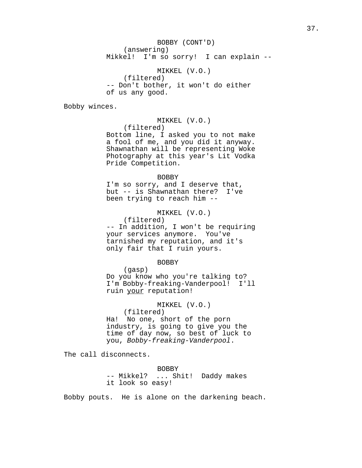BOBBY (CONT'D) (answering) Mikkel! I'm so sorry! I can explain --

MIKKEL (V.O.) (filtered) -- Don't bother, it won't do either of us any good.

Bobby winces.

MIKKEL (V.O.)

(filtered)

Bottom line, I asked you to not make a fool of me, and you did it anyway. Shawnathan will be representing Woke Photography at this year's Lit Vodka Pride Competition.

#### BOBBY

I'm so sorry, and I deserve that, but -- is Shawnathan there? I've been trying to reach him --

MIKKEL (V.O.)

(filtered) -- In addition, I won't be requiring your services anymore. You've tarnished my reputation, and it's only fair that I ruin yours.

BOBBY

(gasp) Do you know who you're talking to? I'm Bobby-freaking-Vanderpool! I'll ruin your reputation!

MIKKEL (V.O.)

(filtered)

Ha! No one, short of the porn industry, is going to give you the time of day now, so best of luck to you, Bobby-freaking-Vanderpool.

The call disconnects.

BOBBY -- Mikkel? ... Shit! Daddy makes it look so easy!

Bobby pouts. He is alone on the darkening beach.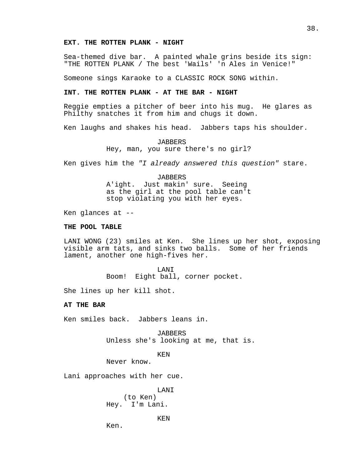### **EXT. THE ROTTEN PLANK - NIGHT**

Sea-themed dive bar. A painted whale grins beside its sign: "THE ROTTEN PLANK / The best 'Wails' 'n Ales in Venice!"

Someone sings Karaoke to a CLASSIC ROCK SONG within.

## **INT. THE ROTTEN PLANK - AT THE BAR - NIGHT**

Reggie empties a pitcher of beer into his mug. He glares as Philthy snatches it from him and chugs it down.

Ken laughs and shakes his head. Jabbers taps his shoulder.

JABBERS Hey, man, you sure there's no girl?

Ken gives him the "I already answered this question" stare.

#### JABBERS

A'ight. Just makin' sure. Seeing as the girl at the pool table can't stop violating you with her eyes.

Ken glances at --

### **THE POOL TABLE**

LANI WONG (23) smiles at Ken. She lines up her shot, exposing visible arm tats, and sinks two balls. Some of her friends lament, another one high-fives her.

> LANI Boom! Eight ball, corner pocket.

She lines up her kill shot.

## **AT THE BAR**

Ken smiles back. Jabbers leans in.

JABBERS Unless she's looking at me, that is.

KEN

Never know.

Lani approaches with her cue.

LANI (to Ken) Hey. I'm Lani.

KEN

Ken.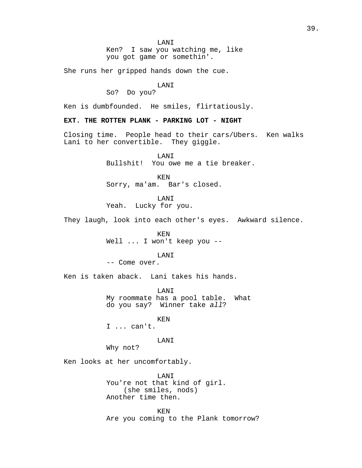Ken? I saw you watching me, like you got game or somethin'.

She runs her gripped hands down the cue.

### LANI

# So? Do you?

Ken is dumbfounded. He smiles, flirtatiously.

## **EXT. THE ROTTEN PLANK - PARKING LOT - NIGHT**

Closing time. People head to their cars/Ubers. Ken walks Lani to her convertible. They giggle.

> LANI Bullshit! You owe me a tie breaker.

KEN Sorry, ma'am. Bar's closed.

LANI Yeah. Lucky for you.

They laugh, look into each other's eyes. Awkward silence.

KEN Well ... I won't keep you --

## LANI

-- Come over.

Ken is taken aback. Lani takes his hands.

LANI My roommate has a pool table. What do you say? Winner take all?

KEN

I ... can't.

# LANI

Why not?

Ken looks at her uncomfortably.

LANI You're not that kind of girl. (she smiles, nods) Another time then.

KEN Are you coming to the Plank tomorrow?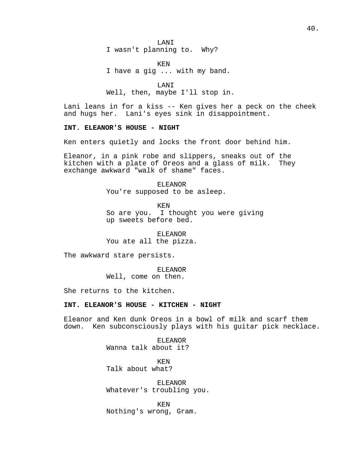LANI I wasn't planning to. Why?

KEN I have a gig ... with my band.

LANI Well, then, maybe I'll stop in.

Lani leans in for a kiss -- Ken gives her a peck on the cheek and hugs her. Lani's eyes sink in disappointment.

## **INT. ELEANOR'S HOUSE - NIGHT**

Ken enters quietly and locks the front door behind him.

Eleanor, in a pink robe and slippers, sneaks out of the kitchen with a plate of Oreos and a glass of milk. They exchange awkward "walk of shame" faces.

> ELEANOR You're supposed to be asleep.

KEN So are you. I thought you were giving up sweets before bed.

ELEANOR You ate all the pizza.

The awkward stare persists.

#### ELEANOR

Well, come on then.

She returns to the kitchen.

### **INT. ELEANOR'S HOUSE - KITCHEN - NIGHT**

Eleanor and Ken dunk Oreos in a bowl of milk and scarf them down. Ken subconsciously plays with his guitar pick necklace.

> ELEANOR Wanna talk about it?

KEN Talk about what?

ELEANOR Whatever's troubling you.

KEN Nothing's wrong, Gram.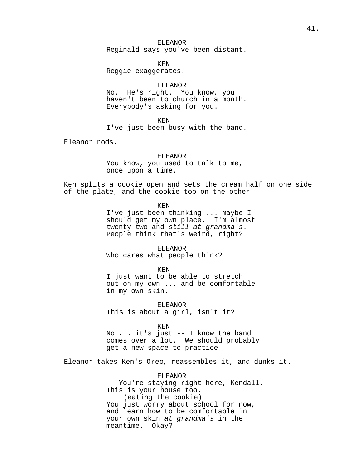## ELEANOR Reginald says you've been distant.

KEN Reggie exaggerates.

ELEANOR No. He's right. You know, you haven't been to church in a month. Everybody's asking for you.

KEN

I've just been busy with the band.

Eleanor nods.

ELEANOR

You know, you used to talk to me, once upon a time.

Ken splits a cookie open and sets the cream half on one side of the plate, and the cookie top on the other.

KEN

I've just been thinking ... maybe I should get my own place. I'm almost twenty-two and still at grandma's. People think that's weird, right?

ELEANOR Who cares what people think?

KEN

I just want to be able to stretch out on my own ... and be comfortable in my own skin.

ELEANOR This is about a girl, isn't it?

KEN

No ... it's just -- I know the band comes over a lot. We should probably get a new space to practice --

Eleanor takes Ken's Oreo, reassembles it, and dunks it.

ELEANOR -- You're staying right here, Kendall. This is your house too. (eating the cookie) You just worry about school for now, and learn how to be comfortable in your own skin at grandma's in the meantime. Okay?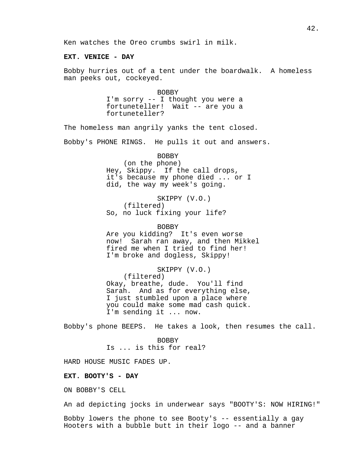## **EXT. VENICE - DAY**

Bobby hurries out of a tent under the boardwalk. A homeless man peeks out, cockeyed.

> BOBBY I'm sorry -- I thought you were a fortuneteller! Wait -- are you a fortuneteller?

The homeless man angrily yanks the tent closed.

Bobby's PHONE RINGS. He pulls it out and answers.

## BOBBY (on the phone) Hey, Skippy. If the call drops, it's because my phone died ... or I did, the way my week's going.

SKIPPY (V.O.) (filtered) So, no luck fixing your life?

BOBBY Are you kidding? It's even worse now! Sarah ran away, and then Mikkel fired me when I tried to find her! I'm broke and dogless, Skippy!

SKIPPY (V.O.) (filtered) Okay, breathe, dude. You'll find Sarah. And as for everything else, I just stumbled upon a place where you could make some mad cash quick. I'm sending it ... now.

Bobby's phone BEEPS. He takes a look, then resumes the call.

BOBBY Is ... is this for real?

HARD HOUSE MUSIC FADES UP.

#### **EXT. BOOTY'S - DAY**

ON BOBBY'S CELL

An ad depicting jocks in underwear says "BOOTY'S: NOW HIRING!"

Bobby lowers the phone to see Booty's -- essentially a gay Hooters with a bubble butt in their logo -- and a banner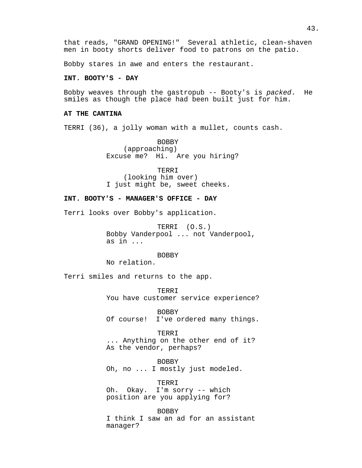that reads, "GRAND OPENING!" Several athletic, clean-shaven men in booty shorts deliver food to patrons on the patio.

Bobby stares in awe and enters the restaurant.

### **INT. BOOTY'S - DAY**

Bobby weaves through the gastropub -- Booty's is packed. He smiles as though the place had been built just for him.

### **AT THE CANTINA**

TERRI (36), a jolly woman with a mullet, counts cash.

BOBBY (approaching) Excuse me? Hi. Are you hiring?

TERRI (looking him over) I just might be, sweet cheeks.

## **INT. BOOTY'S - MANAGER'S OFFICE - DAY**

Terri looks over Bobby's application.

TERRI (O.S.) Bobby Vanderpool ... not Vanderpool, as in ...

BOBBY

No relation.

Terri smiles and returns to the app.

TERRI You have customer service experience?

BOBBY Of course! I've ordered many things.

TERRI ... Anything on the other end of it? As the vendor, perhaps?

BOBBY Oh, no ... I mostly just modeled.

TERRI Oh. Okay. I'm sorry -- which position are you applying for?

BOBBY I think I saw an ad for an assistant manager?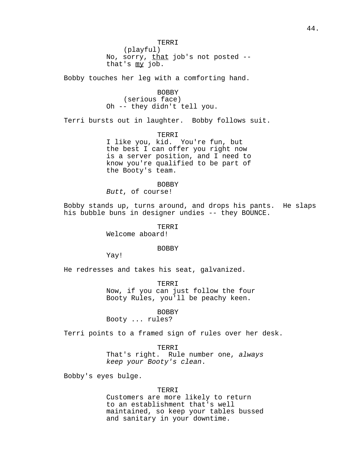Bobby touches her leg with a comforting hand.

that's my job.

BOBBY (serious face) Oh -- they didn't tell you.

Terri bursts out in laughter. Bobby follows suit.

TERRI I like you, kid. You're fun, but the best I can offer you right now is a server position, and I need to know you're qualified to be part of

BOBBY Butt, of course!

the Booty's team.

Bobby stands up, turns around, and drops his pants. He slaps his bubble buns in designer undies -- they BOUNCE.

> TERRI Welcome aboard!

#### BOBBY

Yay!

He redresses and takes his seat, galvanized.

TERRI Now, if you can just follow the four Booty Rules, you'll be peachy keen.

BOBBY

Booty ... rules?

Terri points to a framed sign of rules over her desk.

#### TERRI

That's right. Rule number one, always keep your Booty's clean.

Bobby's eyes bulge.

## TERRI

Customers are more likely to return to an establishment that's well maintained, so keep your tables bussed and sanitary in your downtime.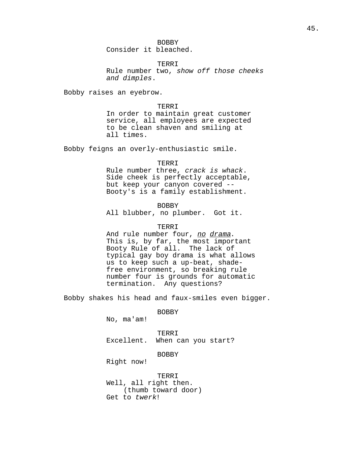BOBBY Consider it bleached.

TERRI Rule number two, show off those cheeks and dimples.

Bobby raises an eyebrow.

TERRI

In order to maintain great customer service, all employees are expected to be clean shaven and smiling at all times.

Bobby feigns an overly-enthusiastic smile.

#### TERRI

Rule number three, crack is whack. Side cheek is perfectly acceptable, but keep your canyon covered -- Booty's is a family establishment.

BOBBY All blubber, no plumber. Got it.

### TERRI

And rule number four, no drama. This is, by far, the most important Booty Rule of all. The lack of typical gay boy drama is what allows us to keep such a up-beat, shadefree environment, so breaking rule number four is grounds for automatic termination. Any questions?

Bobby shakes his head and faux-smiles even bigger.

BOBBY

No, ma'am!

TERRI Excellent. When can you start?

## BOBBY

Right now!

TERRI Well, all right then. (thumb toward door) Get to twerk!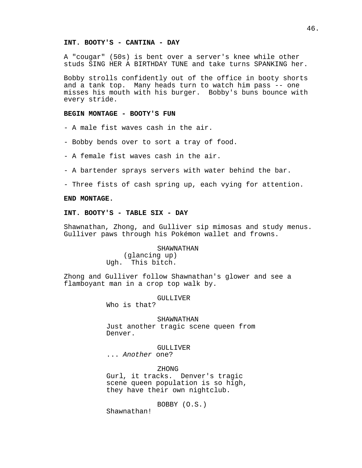### **INT. BOOTY'S - CANTINA - DAY**

A "cougar" (50s) is bent over a server's knee while other studs SING HER A BIRTHDAY TUNE and take turns SPANKING her.

Bobby strolls confidently out of the office in booty shorts and a tank top. Many heads turn to watch him pass -- one misses his mouth with his burger. Bobby's buns bounce with every stride.

## **BEGIN MONTAGE - BOOTY'S FUN**

- A male fist waves cash in the air.

- Bobby bends over to sort a tray of food.
- A female fist waves cash in the air.
- A bartender sprays servers with water behind the bar.
- Three fists of cash spring up, each vying for attention.

## **END MONTAGE.**

#### **INT. BOOTY'S - TABLE SIX - DAY**

Shawnathan, Zhong, and Gulliver sip mimosas and study menus. Gulliver paws through his Pokémon wallet and frowns.

#### SHAWNATHAN

(glancing up) Ugh. This bitch.

Zhong and Gulliver follow Shawnathan's glower and see a flamboyant man in a crop top walk by.

#### GULLIVER

Who is that?

SHAWNATHAN Just another tragic scene queen from Denver.

GULLIVER

... Another one?

ZHONG Gurl, it tracks. Denver's tragic scene queen population is so high, they have their own nightclub.

BOBBY (O.S.)

Shawnathan!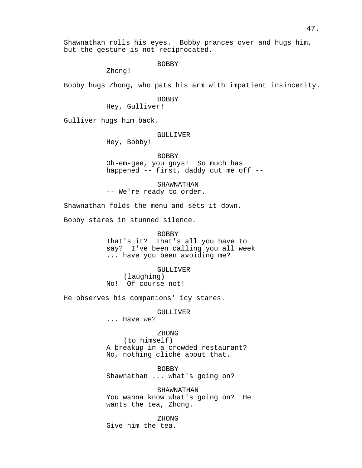Shawnathan rolls his eyes. Bobby prances over and hugs him, but the gesture is not reciprocated.

BOBBY

Zhong!

Bobby hugs Zhong, who pats his arm with impatient insincerity.

#### BOBBY

Hey, Gulliver!

Gulliver hugs him back.

## GULLIVER

Hey, Bobby!

BOBBY

Oh-em-gee, you guys! So much has happened -- first, daddy cut me off --

SHAWNATHAN -- We're ready to order.

Shawnathan folds the menu and sets it down.

Bobby stares in stunned silence.

#### BOBBY

That's it? That's all you have to say? I've been calling you all week ... have you been avoiding me?

GULLIVER

(laughing) No! Of course not!

He observes his companions' icy stares.

## GULLIVER

... Have we?

## ZHONG

(to himself) A breakup in a crowded restaurant? No, nothing cliché about that.

BOBBY

Shawnathan ... what's going on?

## SHAWNATHAN

You wanna know what's going on? He wants the tea, Zhong.

ZHONG

Give him the tea.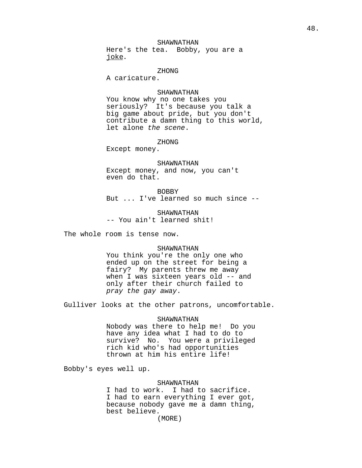## SHAWNATHAN

Here's the tea. Bobby, you are a joke.

#### ZHONG

A caricature.

### SHAWNATHAN

You know why no one takes you seriously? It's because you talk a big game about pride, but you don't contribute a damn thing to this world, let alone the scene.

#### ZHONG

Except money.

## SHAWNATHAN

Except money, and now, you can't even do that.

### BOBBY

But ... I've learned so much since --

SHAWNATHAN -- You ain't learned shit!

The whole room is tense now.

### SHAWNATHAN

You think you're the only one who ended up on the street for being a fairy? My parents threw me away when I was sixteen years old -- and only after their church failed to pray the gay away.

Gulliver looks at the other patrons, uncomfortable.

#### SHAWNATHAN

Nobody was there to help me! Do you have any idea what I had to do to survive? No. You were a privileged rich kid who's had opportunities thrown at him his entire life!

Bobby's eyes well up.

### SHAWNATHAN

I had to work. I had to sacrifice. I had to earn everything I ever got, because nobody gave me a damn thing, best believe.

(MORE)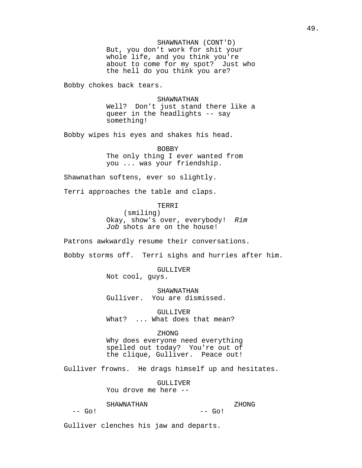SHAWNATHAN (CONT'D) But, you don't work for shit your whole life, and you think you're about to come for my spot? Just who the hell do you think you are?

Bobby chokes back tears.

SHAWNATHAN Well? Don't just stand there like a queer in the headlights -- say something!

Bobby wipes his eyes and shakes his head.

BOBBY The only thing I ever wanted from you ... was your friendship.

Shawnathan softens, ever so slightly.

Terri approaches the table and claps.

TERRI

(smiling) Okay, show's over, everybody! Rim Job shots are on the house!

Patrons awkwardly resume their conversations.

Bobby storms off. Terri sighs and hurries after him.

GULLIVER

Not cool, guys.

SHAWNATHAN Gulliver. You are dismissed.

GULLIVER What? ... What does that mean?

#### ZHONG

Why does everyone need everything spelled out today? You're out of the clique, Gulliver. Peace out!

Gulliver frowns. He drags himself up and hesitates.

GULLIVER You drove me here --

#### SHAWNATHAN

#### ZHONG

 $--$  Go!

 $--$  Go!

Gulliver clenches his jaw and departs.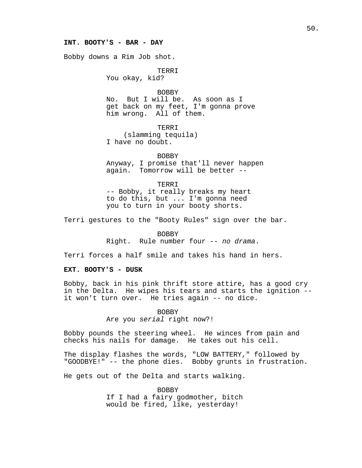#### **INT. BOOTY'S - BAR - DAY**

Bobby downs a Rim Job shot.

TERRI

You okay, kid?

BOBBY No. But I will be. As soon as I get back on my feet, I'm gonna prove him wrong. All of them.

TERRI (slamming tequila) I have no doubt.

BOBBY Anyway, I promise that'll never happen again. Tomorrow will be better --

TERRI -- Bobby, it really breaks my heart to do this, but ... I'm gonna need you to turn in your booty shorts.

Terri gestures to the "Booty Rules" sign over the bar.

BOBBY

Right. Rule number four -- no drama.

Terri forces a half smile and takes his hand in hers.

## **EXT. BOOTY'S - DUSK**

Bobby, back in his pink thrift store attire, has a good cry in the Delta. He wipes his tears and starts the ignition - it won't turn over. He tries again -- no dice.

> BOBBY Are you serial right now?!

Bobby pounds the steering wheel. He winces from pain and checks his nails for damage. He takes out his cell.

The display flashes the words, "LOW BATTERY," followed by "GOODBYE!" -- the phone dies. Bobby grunts in frustration.

He gets out of the Delta and starts walking.

BOBBY If I had a fairy godmother, bitch would be fired, like, yesterday!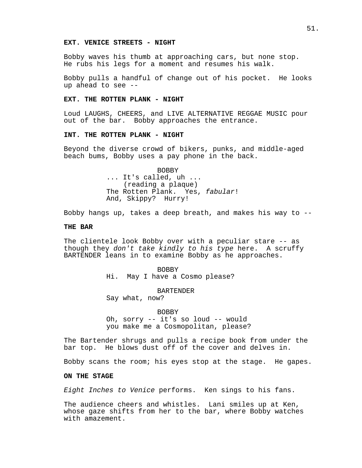#### **EXT. VENICE STREETS - NIGHT**

Bobby waves his thumb at approaching cars, but none stop. He rubs his legs for a moment and resumes his walk.

Bobby pulls a handful of change out of his pocket. He looks up ahead to see --

#### **EXT. THE ROTTEN PLANK - NIGHT**

Loud LAUGHS, CHEERS, and LIVE ALTERNATIVE REGGAE MUSIC pour out of the bar. Bobby approaches the entrance.

### **INT. THE ROTTEN PLANK - NIGHT**

Beyond the diverse crowd of bikers, punks, and middle-aged beach bums, Bobby uses a pay phone in the back.

> BOBBY ... It's called, uh ... (reading a plaque) The Rotten Plank. Yes, fabular! And, Skippy? Hurry!

Bobby hangs up, takes a deep breath, and makes his way to --

### **THE BAR**

The clientele look Bobby over with a peculiar stare -- as though they don't take kindly to his type here. A scruffy BARTENDER leans in to examine Bobby as he approaches.

> BOBBY Hi. May I have a Cosmo please?

BARTENDER Say what, now?

BOBBY

Oh, sorry -- it's so loud -- would you make me a Cosmopolitan, please?

The Bartender shrugs and pulls a recipe book from under the bar top. He blows dust off of the cover and delves in.

Bobby scans the room; his eyes stop at the stage. He gapes.

#### **ON THE STAGE**

Eight Inches to Venice performs. Ken sings to his fans.

The audience cheers and whistles. Lani smiles up at Ken, whose gaze shifts from her to the bar, where Bobby watches with amazement.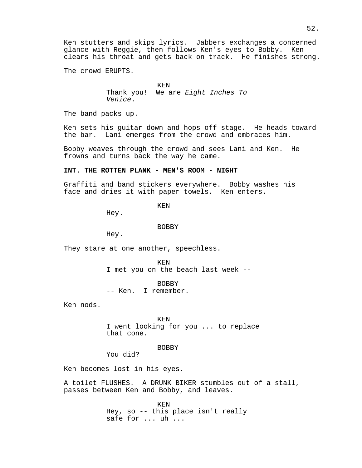The crowd ERUPTS.

KEN

Thank you! We are Eight Inches To Venice.

The band packs up.

Ken sets his guitar down and hops off stage. He heads toward the bar. Lani emerges from the crowd and embraces him.

Bobby weaves through the crowd and sees Lani and Ken. He frowns and turns back the way he came.

### **INT. THE ROTTEN PLANK - MEN'S ROOM - NIGHT**

Graffiti and band stickers everywhere. Bobby washes his face and dries it with paper towels. Ken enters.

KEN

Hey.

BOBBY

Hey.

They stare at one another, speechless.

KEN I met you on the beach last week --

BOBBY -- Ken. I remember.

Ken nods.

KEN I went looking for you ... to replace that cone.

BOBBY

You did?

Ken becomes lost in his eyes.

A toilet FLUSHES. A DRUNK BIKER stumbles out of a stall, passes between Ken and Bobby, and leaves.

> KEN Hey, so -- this place isn't really safe for ... uh ...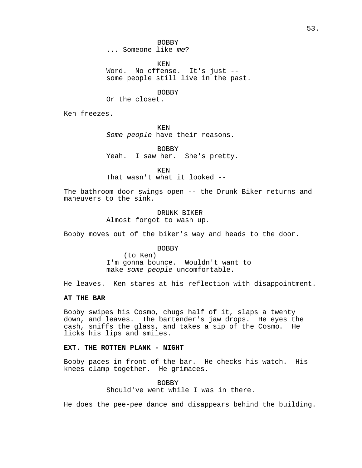KEN Word. No offense. It's just - some people still live in the past.

BOBBY

Or the closet.

Ken freezes.

KEN Some people have their reasons.

BOBBY Yeah. I saw her. She's pretty.

KEN That wasn't what it looked --

The bathroom door swings open -- the Drunk Biker returns and maneuvers to the sink.

> DRUNK BIKER Almost forgot to wash up.

Bobby moves out of the biker's way and heads to the door.

BOBBY (to Ken) I'm gonna bounce. Wouldn't want to make some people uncomfortable.

He leaves. Ken stares at his reflection with disappointment.

## **AT THE BAR**

Bobby swipes his Cosmo, chugs half of it, slaps a twenty down, and leaves. The bartender's jaw drops. He eyes the cash, sniffs the glass, and takes a sip of the Cosmo. He licks his lips and smiles.

### **EXT. THE ROTTEN PLANK - NIGHT**

Bobby paces in front of the bar. He checks his watch. His knees clamp together. He grimaces.

> BOBBY Should've went while I was in there.

He does the pee-pee dance and disappears behind the building.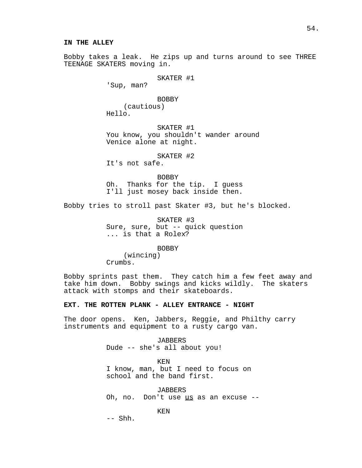Bobby takes a leak. He zips up and turns around to see THREE TEENAGE SKATERS moving in.

SKATER #1

'Sup, man?

BOBBY (cautious) Hello.

SKATER #1 You know, you shouldn't wander around Venice alone at night.

SKATER #2

It's not safe.

BOBBY Oh. Thanks for the tip. I guess I'll just mosey back inside then.

Bobby tries to stroll past Skater #3, but he's blocked.

SKATER #3 Sure, sure, but -- quick question ... is that a Rolex?

BOBBY

(wincing) Crumbs.

Bobby sprints past them. They catch him a few feet away and take him down. Bobby swings and kicks wildly. The skaters attack with stomps and their skateboards.

### **EXT. THE ROTTEN PLANK - ALLEY ENTRANCE - NIGHT**

The door opens. Ken, Jabbers, Reggie, and Philthy carry instruments and equipment to a rusty cargo van.

> JABBERS Dude -- she's all about you!

KEN I know, man, but I need to focus on school and the band first.

*JABBERS* Oh, no. Don't use us as an excuse --

KEN

-- Shh.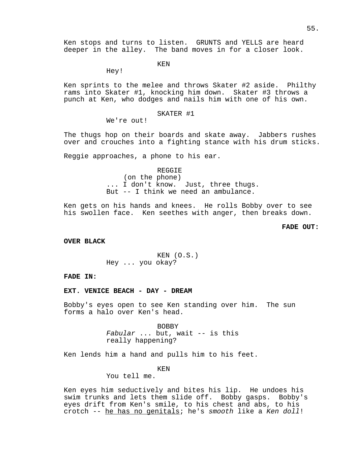KEN

Hey!

Ken sprints to the melee and throws Skater #2 aside. Philthy rams into Skater #1, knocking him down. Skater #3 throws a punch at Ken, who dodges and nails him with one of his own.

#### SKATER #1

We're out!

The thugs hop on their boards and skate away. Jabbers rushes over and crouches into a fighting stance with his drum sticks.

Reggie approaches, a phone to his ear.

REGGIE (on the phone) ... I don't know. Just, three thugs. But -- I think we need an ambulance.

Ken gets on his hands and knees. He rolls Bobby over to see his swollen face. Ken seethes with anger, then breaks down.

## **FADE OUT:**

**OVER BLACK**

KEN (O.S.) Hey ... you okay?

## **FADE IN:**

**EXT. VENICE BEACH - DAY - DREAM**

Bobby's eyes open to see Ken standing over him. The sun forms a halo over Ken's head.

> BOBBY Fabular ... but, wait -- is this really happening?

Ken lends him a hand and pulls him to his feet.

#### KEN

You tell me.

Ken eyes him seductively and bites his lip. He undoes his swim trunks and lets them slide off. Bobby gasps. Bobby's eyes drift from Ken's smile, to his chest and abs, to his crotch -- he has no genitals; he's smooth like a Ken doll!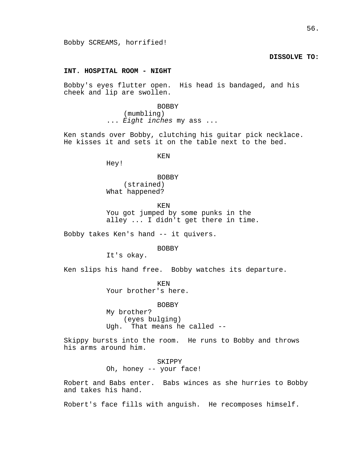## **DISSOLVE TO:**

## **INT. HOSPITAL ROOM - NIGHT**

Bobby's eyes flutter open. His head is bandaged, and his cheek and lip are swollen.

> BOBBY (mumbling) ... Eight inches my ass ...

Ken stands over Bobby, clutching his guitar pick necklace. He kisses it and sets it on the table next to the bed.

KEN

Hey!

BOBBY (strained) What happened?

KEN You got jumped by some punks in the alley ... I didn't get there in time.

Bobby takes Ken's hand -- it quivers.

**BOBBY** 

It's okay.

Ken slips his hand free. Bobby watches its departure.

KEN Your brother's here.

BOBBY My brother? (eyes bulging) Ugh. That means he called --

Skippy bursts into the room. He runs to Bobby and throws his arms around him.

> SKIPPY Oh, honey -- your face!

Robert and Babs enter. Babs winces as she hurries to Bobby and takes his hand.

Robert's face fills with anguish. He recomposes himself.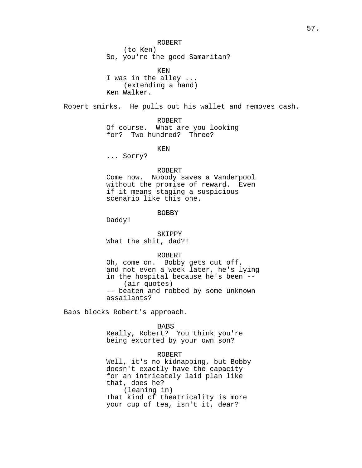ROBERT (to Ken) So, you're the good Samaritan?

KEN I was in the alley ... (extending a hand) Ken Walker.

Robert smirks. He pulls out his wallet and removes cash.

ROBERT Of course. What are you looking for? Two hundred? Three?

KEN

... Sorry?

#### ROBERT

Come now. Nobody saves a Vanderpool without the promise of reward. Even if it means staging a suspicious scenario like this one.

BOBBY

Daddy!

SKIPPY

What the shit, dad?!

## ROBERT

Oh, come on. Bobby gets cut off, and not even a week later, he's lying in the hospital because he's been -- (air quotes) -- beaten and robbed by some unknown assailants?

Babs blocks Robert's approach.

#### BABS

Really, Robert? You think you're being extorted by your own son?

## ROBERT

Well, it's no kidnapping, but Bobby doesn't exactly have the capacity for an intricately laid plan like that, does he? (leaning in) That kind of theatricality is more your cup of tea, isn't it, dear?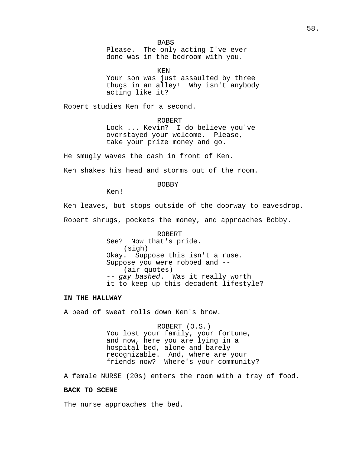**BABS** Please. The only acting I've ever done was in the bedroom with you.

KEN Your son was just assaulted by three thugs in an alley! Why isn't anybody acting like it?

Robert studies Ken for a second.

ROBERT Look ... Kevin? I do believe you've overstayed your welcome. Please, take your prize money and go.

He smugly waves the cash in front of Ken.

Ken shakes his head and storms out of the room.

BOBBY

Ken!

Ken leaves, but stops outside of the doorway to eavesdrop.

Robert shrugs, pockets the money, and approaches Bobby.

ROBERT See? Now that's pride. (sigh) Okay. Suppose this isn't a ruse. Suppose you were robbed and -- (air quotes) -- gay bashed. Was it really worth it to keep up this decadent lifestyle?

### **IN THE HALLWAY**

A bead of sweat rolls down Ken's brow.

ROBERT (O.S.) You lost your family, your fortune, and now, here you are lying in a hospital bed, alone and barely recognizable. And, where are your friends now? Where's your community?

A female NURSE (20s) enters the room with a tray of food.

## **BACK TO SCENE**

The nurse approaches the bed.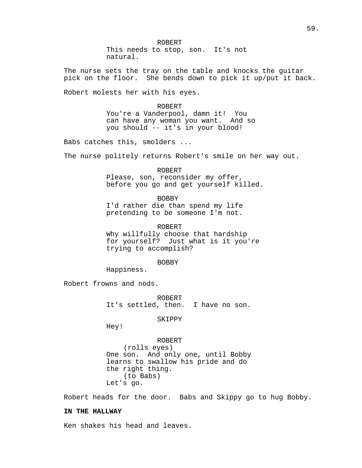ROBERT This needs to stop, son. It's not natural.

The nurse sets the tray on the table and knocks the guitar pick on the floor. She bends down to pick it up/put it back.

Robert molests her with his eyes.

ROBERT You're a Vanderpool, damn it! You can have any woman you want. And so you should -- it's in your blood!

Babs catches this, smolders ...

The nurse politely returns Robert's smile on her way out.

ROBERT Please, son, reconsider my offer, before you go and get yourself killed.

BOBBY I'd rather die than spend my life pretending to be someone I'm not.

ROBERT Why willfully choose that hardship for yourself? Just what is it you're trying to accomplish?

BOBBY

Happiness.

Robert frowns and nods.

ROBERT It's settled, then. I have no son.

SKIPPY

Hey!

ROBERT (rolls eyes) One son. And only one, until Bobby learns to swallow his pride and do the right thing. (to Babs) Let's go.

Robert heads for the door. Babs and Skippy go to hug Bobby.

## **IN THE HALLWAY**

Ken shakes his head and leaves.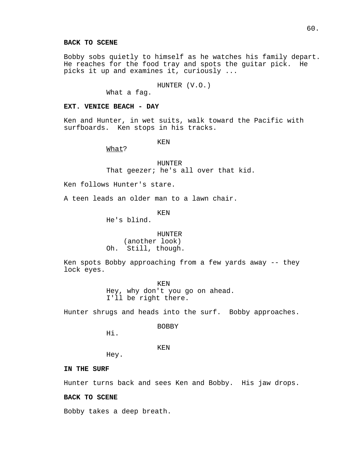## **BACK TO SCENE**

Bobby sobs quietly to himself as he watches his family depart. He reaches for the food tray and spots the guitar pick. He picks it up and examines it, curiously ...

HUNTER (V.O.)

What a fag.

### **EXT. VENICE BEACH - DAY**

Ken and Hunter, in wet suits, walk toward the Pacific with surfboards. Ken stops in his tracks.

KEN

What?

HUNTER That geezer; he's all over that kid.

Ken follows Hunter's stare.

A teen leads an older man to a lawn chair.

KEN

He's blind.

HUNTER (another look) Oh. Still, though.

Ken spots Bobby approaching from a few yards away -- they lock eyes.

> KEN Hey, why don't you go on ahead. I'll be right there.

Hunter shrugs and heads into the surf. Bobby approaches.

BOBBY

Hi.

KEN

Hey.

## **IN THE SURF**

Hunter turns back and sees Ken and Bobby. His jaw drops.

### **BACK TO SCENE**

Bobby takes a deep breath.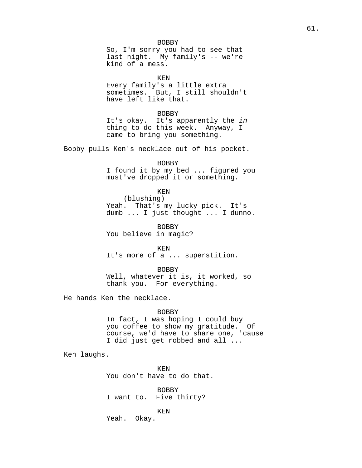#### BOBBY

So, I'm sorry you had to see that last night. My family's -- we're kind of a mess.

KEN

Every family's a little extra sometimes. But, I still shouldn't have left like that.

#### BOBBY

It's okay. It's apparently the in thing to do this week. Anyway, I came to bring you something.

Bobby pulls Ken's necklace out of his pocket.

BOBBY

I found it by my bed ... figured you must've dropped it or something.

#### KEN

(blushing) Yeah. That's my lucky pick. It's dumb ... I just thought ... I dunno.

BOBBY You believe in magic?

KEN It's more of a ... superstition.

BOBBY

Well, whatever it is, it worked, so thank you. For everything.

He hands Ken the necklace.

### BOBBY

In fact, I was hoping I could buy you coffee to show my gratitude. Of course, we'd have to share one, 'cause I did just get robbed and all ...

Ken laughs.

KEN You don't have to do that.

BOBBY I want to. Five thirty?

KEN

Yeah. Okay.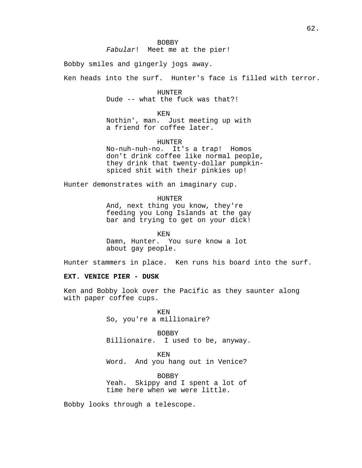Bobby smiles and gingerly jogs away.

Ken heads into the surf. Hunter's face is filled with terror.

HUNTER Dude -- what the fuck was that?!

KEN

Nothin', man. Just meeting up with a friend for coffee later.

HUNTER

No-nuh-nuh-no. It's a trap! Homos don't drink coffee like normal people, they drink that twenty-dollar pumpkinspiced shit with their pinkies up!

Hunter demonstrates with an imaginary cup.

HUNTER And, next thing you know, they're feeding you Long Islands at the gay bar and trying to get on your dick!

KEN Damn, Hunter. You sure know a lot about gay people.

Hunter stammers in place. Ken runs his board into the surf.

## **EXT. VENICE PIER - DUSK**

Ken and Bobby look over the Pacific as they saunter along with paper coffee cups.

> KEN So, you're a millionaire?

BOBBY Billionaire. I used to be, anyway.

KEN Word. And you hang out in Venice?

BOBBY Yeah. Skippy and I spent a lot of time here when we were little.

Bobby looks through a telescope.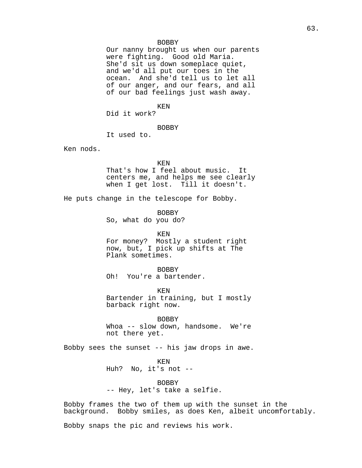### BOBBY

Our nanny brought us when our parents were fighting. Good old Maria. She'd sit us down someplace quiet, and we'd all put our toes in the ocean. And she'd tell us to let all of our anger, and our fears, and all of our bad feelings just wash away.

KEN

Did it work?

#### BOBBY

It used to.

Ken nods.

#### KEN

That's how I feel about music. It centers me, and helps me see clearly when I get lost. Till it doesn't.

He puts change in the telescope for Bobby.

BOBBY

So, what do you do?

KEN

For money? Mostly a student right now, but, I pick up shifts at The Plank sometimes.

#### BOBBY

Oh! You're a bartender.

KEN

Bartender in training, but I mostly barback right now.

BOBBY Whoa -- slow down, handsome. We're not there yet.

Bobby sees the sunset -- his jaw drops in awe.

KEN Huh? No, it's not --

BOBBY -- Hey, let's take a selfie.

Bobby frames the two of them up with the sunset in the background. Bobby smiles, as does Ken, albeit uncomfortably.

Bobby snaps the pic and reviews his work.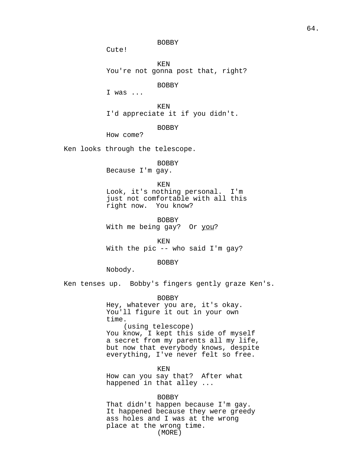BOBBY

Cute!

KEN You're not gonna post that, right?

BOBBY

I was ...

KEN I'd appreciate it if you didn't.

BOBBY

How come?

Ken looks through the telescope.

BOBBY

Because I'm gay.

KEN

Look, it's nothing personal. I'm just not comfortable with all this right now. You know?

BOBBY With me being gay? Or you?

KEN With the pic -- who said I'm gay?

BOBBY

Nobody.

Ken tenses up. Bobby's fingers gently graze Ken's.

BOBBY Hey, whatever you are, it's okay. You'll figure it out in your own time. (using telescope) You know, I kept this side of myself a secret from my parents all my life, but now that everybody knows, despite everything, I've never felt so free.

KEN How can you say that? After what happened in that alley ...

BOBBY That didn't happen because I'm gay. It happened because they were greedy ass holes and I was at the wrong place at the wrong time. (MORE)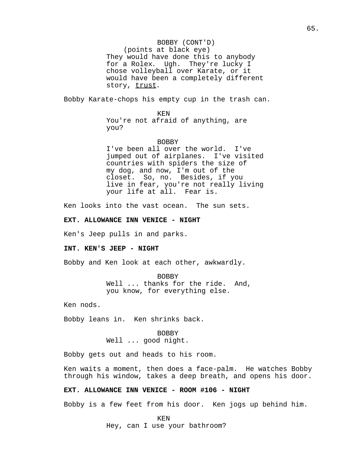### BOBBY (CONT'D)

(points at black eye) They would have done this to anybody for a Rolex. Ugh. They're lucky I chose volleyball over Karate, or it would have been a completely different story, trust.

Bobby Karate-chops his empty cup in the trash can.

#### KEN

You're not afraid of anything, are you?

#### BOBBY

I've been all over the world. I've jumped out of airplanes. I've visited countries with spiders the size of my dog, and now, I'm out of the closet. So, no. Besides, if you live in fear, you're not really living your life at all. Fear is.

Ken looks into the vast ocean. The sun sets.

### **EXT. ALLOWANCE INN VENICE - NIGHT**

Ken's Jeep pulls in and parks.

#### **INT. KEN'S JEEP - NIGHT**

Bobby and Ken look at each other, awkwardly.

BOBBY Well ... thanks for the ride. And, you know, for everything else.

Ken nods.

Bobby leans in. Ken shrinks back.

BOBBY Well ... good night.

Bobby gets out and heads to his room.

Ken waits a moment, then does a face-palm. He watches Bobby through his window, takes a deep breath, and opens his door.

## **EXT. ALLOWANCE INN VENICE - ROOM #106 - NIGHT**

Bobby is a few feet from his door. Ken jogs up behind him.

KEN Hey, can I use your bathroom?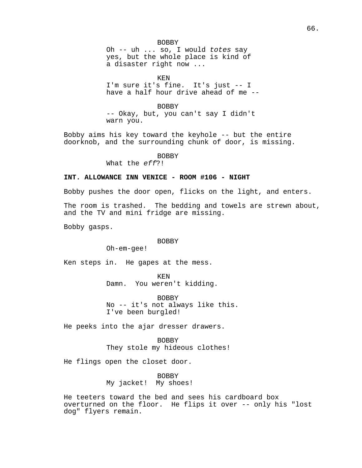#### BOBBY

Oh -- uh ... so, I would totes say yes, but the whole place is kind of a disaster right now ...

KEN

I'm sure it's fine. It's just -- I have a half hour drive ahead of me --

BOBBY

-- Okay, but, you can't say I didn't warn you.

Bobby aims his key toward the keyhole -- but the entire doorknob, and the surrounding chunk of door, is missing.

BOBBY

What the eff?!

## **INT. ALLOWANCE INN VENICE - ROOM #106 - NIGHT**

Bobby pushes the door open, flicks on the light, and enters.

The room is trashed. The bedding and towels are strewn about, and the TV and mini fridge are missing.

Bobby gasps.

#### BOBBY

Oh-em-gee!

Ken steps in. He gapes at the mess.

KEN Damn. You weren't kidding.

BOBBY No -- it's not always like this. I've been burgled!

He peeks into the ajar dresser drawers.

BOBBY They stole my hideous clothes!

He flings open the closet door.

BOBBY My jacket! My shoes!

He teeters toward the bed and sees his cardboard box overturned on the floor. He flips it over -- only his "lost dog" flyers remain.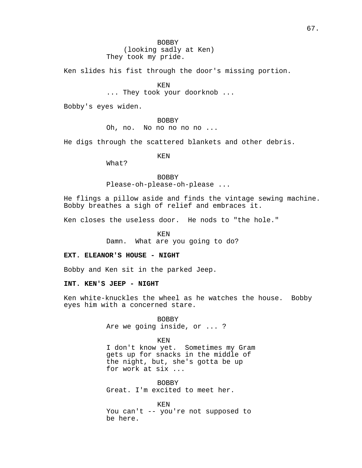BOBBY (looking sadly at Ken) They took my pride.

Ken slides his fist through the door's missing portion.

KEN ... They took your doorknob ...

Bobby's eyes widen.

BOBBY Oh, no. No no no no no ...

He digs through the scattered blankets and other debris.

KEN

What?

BOBBY

Please-oh-please-oh-please ...

He flings a pillow aside and finds the vintage sewing machine. Bobby breathes a sigh of relief and embraces it.

Ken closes the useless door. He nods to "the hole."

KEN

Damn. What are you going to do?

### **EXT. ELEANOR'S HOUSE - NIGHT**

Bobby and Ken sit in the parked Jeep.

**INT. KEN'S JEEP - NIGHT**

Ken white-knuckles the wheel as he watches the house. Bobby eyes him with a concerned stare.

> BOBBY Are we going inside, or ... ?

> > KEN

I don't know yet. Sometimes my Gram gets up for snacks in the middle of the night, but, she's gotta be up for work at six ...

BOBBY Great. I'm excited to meet her.

KEN You can't -- you're not supposed to be here.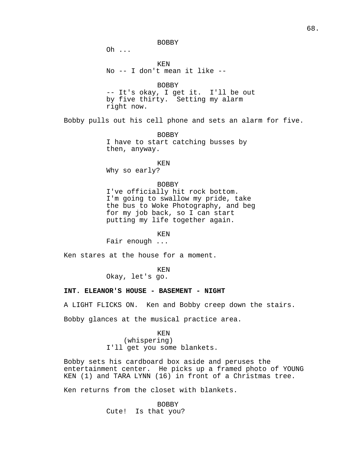BOBBY Oh ... KEN No -- I don't mean it like -- BOBBY -- It's okay, I get it. I'll be out by five thirty. Setting my alarm right now. Bobby pulls out his cell phone and sets an alarm for five. BOBBY

I have to start catching busses by then, anyway.

KEN Why so early?

### BOBBY

I've officially hit rock bottom. I'm going to swallow my pride, take the bus to Woke Photography, and beg for my job back, so I can start putting my life together again.

KEN

Fair enough ...

Ken stares at the house for a moment.

KEN

Okay, let's go.

### **INT. ELEANOR'S HOUSE - BASEMENT - NIGHT**

A LIGHT FLICKS ON. Ken and Bobby creep down the stairs.

Bobby glances at the musical practice area.

KEN (whispering) I'll get you some blankets.

Bobby sets his cardboard box aside and peruses the entertainment center. He picks up a framed photo of YOUNG KEN (1) and TARA LYNN (16) in front of a Christmas tree.

Ken returns from the closet with blankets.

BOBBY Cute! Is that you?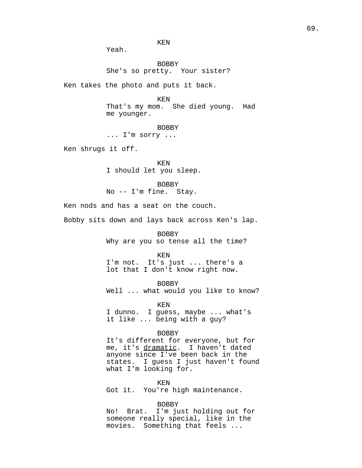Yeah.

BOBBY She's so pretty. Your sister?

Ken takes the photo and puts it back.

KEN That's my mom. She died young. Had me younger.

BOBBY ... I'm sorry ...

Ken shrugs it off.

KEN I should let you sleep.

BOBBY No -- I'm fine. Stay.

Ken nods and has a seat on the couch.

Bobby sits down and lays back across Ken's lap.

BOBBY Why are you so tense all the time?

KEN I'm not. It's just ... there's a lot that I don't know right now.

BOBBY Well ... what would you like to know?

KEN I dunno. I guess, maybe ... what's it like ... being with a guy?

#### BOBBY

It's different for everyone, but for me, it's dramatic. I haven't dated anyone since I've been back in the states. I guess I just haven't found what I'm looking for.

KEN

Got it. You're high maintenance.

BOBBY

No! Brat. I'm just holding out for someone really special, like in the movies. Something that feels ...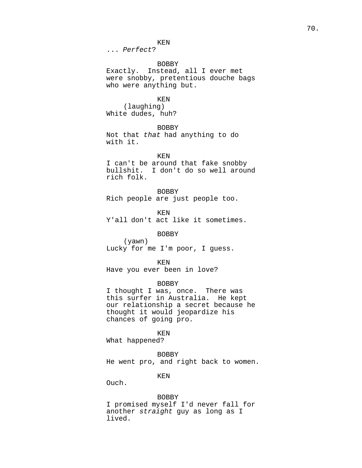KEN

... Perfect?

#### BOBBY

Exactly. Instead, all I ever met were snobby, pretentious douche bags who were anything but.

## KEN

(laughing) White dudes, huh?

BOBBY Not that that had anything to do with it.

KEN

I can't be around that fake snobby bullshit. I don't do so well around rich folk.

#### BOBBY

Rich people are just people too.

KEN

Y'all don't act like it sometimes.

## BOBBY

(yawn) Lucky for me I'm poor, I guess.

KEN

Have you ever been in love?

#### BOBBY

I thought I was, once. There was this surfer in Australia. He kept our relationship a secret because he thought it would jeopardize his chances of going pro.

KEN

What happened?

#### BOBBY

He went pro, and right back to women.

KEN

Ouch.

#### BOBBY

I promised myself I'd never fall for another straight guy as long as I lived.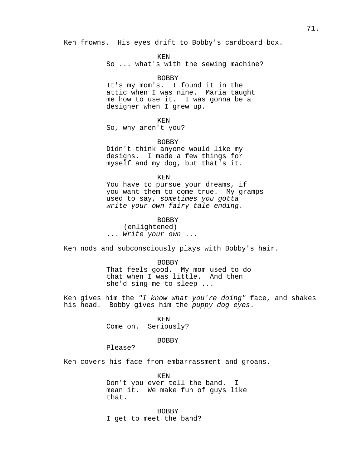Ken frowns. His eyes drift to Bobby's cardboard box.

KEN

So ... what's with the sewing machine?

#### BOBBY

It's my mom's. I found it in the attic when I was nine. Maria taught me how to use it. I was gonna be a designer when I grew up.

#### KEN

So, why aren't you?

#### BOBBY

Didn't think anyone would like my designs. I made a few things for myself and my dog, but that's it.

KEN

You have to pursue your dreams, if you want them to come true. My gramps used to say, sometimes you gotta write your own fairy tale ending.

### BOBBY

(enlightened) ... Write your own ...

Ken nods and subconsciously plays with Bobby's hair.

#### BOBBY

That feels good. My mom used to do that when I was little. And then she'd sing me to sleep ...

Ken gives him the "I know what you're doing" face, and shakes his head. Bobby gives him the puppy dog eyes.

> KEN Come on. Seriously?

## BOBBY

Please?

Ken covers his face from embarrassment and groans.

KEN Don't you ever tell the band. I mean it. We make fun of guys like that.

BOBBY I get to meet the band?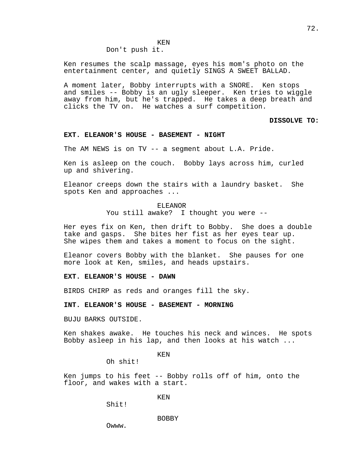$KEN$ 

Don't push it.

Ken resumes the scalp massage, eyes his mom's photo on the entertainment center, and quietly SINGS A SWEET BALLAD.

A moment later, Bobby interrupts with a SNORE. Ken stops and smiles -- Bobby is an ugly sleeper. Ken tries to wiggle away from him, but he's trapped. He takes a deep breath and clicks the TV on. He watches a surf competition.

**DISSOLVE TO:**

## **EXT. ELEANOR'S HOUSE - BASEMENT - NIGHT**

The AM NEWS is on TV -- a segment about L.A. Pride.

Ken is asleep on the couch. Bobby lays across him, curled up and shivering.

Eleanor creeps down the stairs with a laundry basket. She spots Ken and approaches ...

> ELEANOR You still awake? I thought you were --

Her eyes fix on Ken, then drift to Bobby. She does a double take and gasps. She bites her fist as her eyes tear up. She wipes them and takes a moment to focus on the sight.

Eleanor covers Bobby with the blanket. She pauses for one more look at Ken, smiles, and heads upstairs.

**EXT. ELEANOR'S HOUSE - DAWN**

BIRDS CHIRP as reds and oranges fill the sky.

**INT. ELEANOR'S HOUSE - BASEMENT - MORNING**

BUJU BARKS OUTSIDE.

Ken shakes awake. He touches his neck and winces. He spots Bobby asleep in his lap, and then looks at his watch ...

KEN

Oh shit!

Ken jumps to his feet -- Bobby rolls off of him, onto the floor, and wakes with a start.

KEN

Shit!

BOBBY

Owww.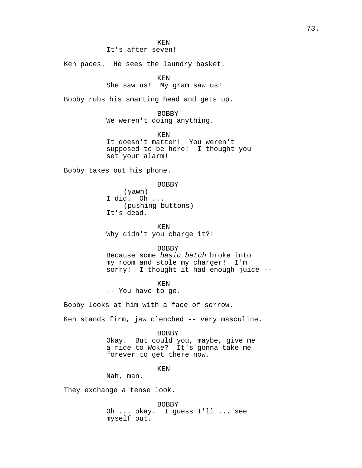KEN

It's after seven!

Ken paces. He sees the laundry basket.

KEN

She saw us! My gram saw us!

Bobby rubs his smarting head and gets up.

BOBBY

We weren't doing anything.

KEN

It doesn't matter! You weren't supposed to be here! I thought you set your alarm!

Bobby takes out his phone.

BOBBY

(yawn) I did. Oh ... (pushing buttons) It's dead.

KEN Why didn't you charge it?!

BOBBY Because some basic betch broke into my room and stole my charger! I'm sorry! I thought it had enough juice --

KEN -- You have to go.

Bobby looks at him with a face of sorrow.

Ken stands firm, jaw clenched -- very masculine.

#### BOBBY

Okay. But could you, maybe, give me a ride to Woke? It's gonna take me forever to get there now.

## KEN

Nah, man.

They exchange a tense look.

BOBBY

Oh ... okay. I guess I'll ... see myself out.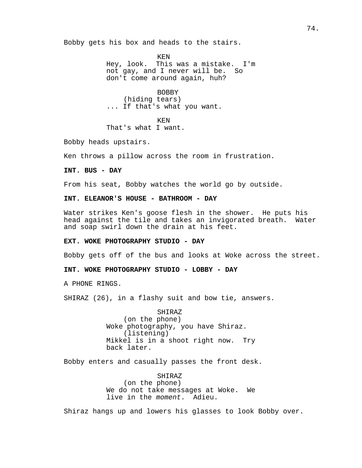Bobby gets his box and heads to the stairs.

KEN Hey, look. This was a mistake. I'm not gay, and I never will be. So don't come around again, huh?

BOBBY (hiding tears) ... If that's what you want.

KEN

That's what I want.

Bobby heads upstairs.

Ken throws a pillow across the room in frustration.

**INT. BUS - DAY**

From his seat, Bobby watches the world go by outside.

**INT. ELEANOR'S HOUSE - BATHROOM - DAY**

Water strikes Ken's goose flesh in the shower. He puts his head against the tile and takes an invigorated breath. Water and soap swirl down the drain at his feet.

## **EXT. WOKE PHOTOGRAPHY STUDIO - DAY**

Bobby gets off of the bus and looks at Woke across the street.

**INT. WOKE PHOTOGRAPHY STUDIO - LOBBY - DAY**

A PHONE RINGS.

SHIRAZ (26), in a flashy suit and bow tie, answers.

SHIRAZ (on the phone) Woke photography, you have Shiraz. (listening) Mikkel is in a shoot right now. Try back later.

Bobby enters and casually passes the front desk.

SHIRAZ (on the phone) We do not take messages at Woke. We live in the moment. Adieu.

Shiraz hangs up and lowers his glasses to look Bobby over.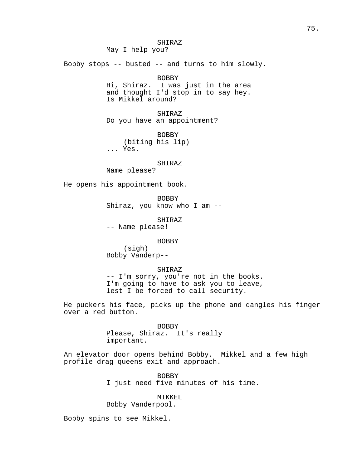SHIRAZ May I help you? Bobby stops -- busted -- and turns to him slowly. BOBBY Hi, Shiraz. I was just in the area and thought I'd stop in to say hey. Is Mikkel around? SHIRAZ Do you have an appointment? BOBBY (biting his lip) ... Yes. SHIRAZ Name please? He opens his appointment book. BOBBY Shiraz, you know who I am -- SHIRAZ -- Name please! BOBBY (sigh) Bobby Vanderp-- SHIRAZ -- I'm sorry, you're not in the books. I'm going to have to ask you to leave, lest I be forced to call security.

He puckers his face, picks up the phone and dangles his finger over a red button.

> BOBBY Please, Shiraz. It's really important.

An elevator door opens behind Bobby. Mikkel and a few high profile drag queens exit and approach.

> BOBBY I just need five minutes of his time.

MIKKEL Bobby Vanderpool.

Bobby spins to see Mikkel.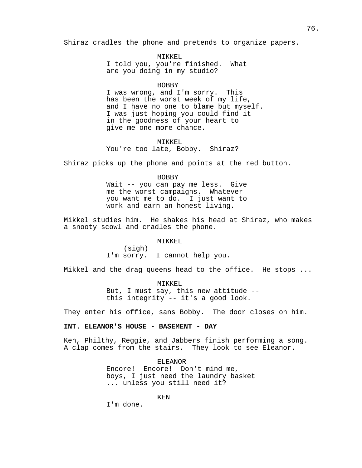Shiraz cradles the phone and pretends to organize papers.

MIKKEL I told you, you're finished. What are you doing in my studio?

#### BOBBY

I was wrong, and I'm sorry. This has been the worst week of my life, and I have no one to blame but myself. I was just hoping you could find it in the goodness of your heart to give me one more chance.

#### MIKKEL

You're too late, Bobby. Shiraz?

Shiraz picks up the phone and points at the red button.

BOBBY Wait -- you can pay me less. Give me the worst campaigns. Whatever you want me to do. I just want to work and earn an honest living.

Mikkel studies him. He shakes his head at Shiraz, who makes a snooty scowl and cradles the phone.

MIKKEL

(sigh) I'm sorry. I cannot help you.

Mikkel and the drag queens head to the office. He stops ...

MIKKEL But, I must say, this new attitude - this integrity -- it's a good look.

They enter his office, sans Bobby. The door closes on him.

## **INT. ELEANOR'S HOUSE - BASEMENT - DAY**

Ken, Philthy, Reggie, and Jabbers finish performing a song. A clap comes from the stairs. They look to see Eleanor.

> ELEANOR Encore! Encore! Don't mind me, boys, I just need the laundry basket ... unless you still need it?

> > KEN

I'm done.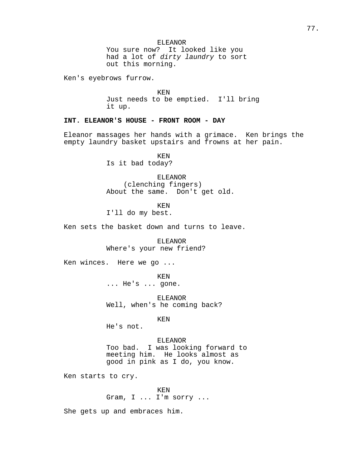ELEANOR You sure now? It looked like you had a lot of dirty laundry to sort out this morning.

Ken's eyebrows furrow.

KEN Just needs to be emptied. I'll bring it up.

**INT. ELEANOR'S HOUSE - FRONT ROOM - DAY**

Eleanor massages her hands with a grimace. Ken brings the empty laundry basket upstairs and frowns at her pain.

> KEN Is it bad today?

ELEANOR (clenching fingers) About the same. Don't get old.

KEN

I'll do my best.

Ken sets the basket down and turns to leave.

ELEANOR Where's your new friend?

Ken winces. Here we go ...

KEN ... He's ... gone.

ELEANOR Well, when's he coming back?

KEN

He's not.

ELEANOR

Too bad. I was looking forward to meeting him. He looks almost as good in pink as I do, you know.

Ken starts to cry.

KEN Gram, I ... I'm sorry ...

She gets up and embraces him.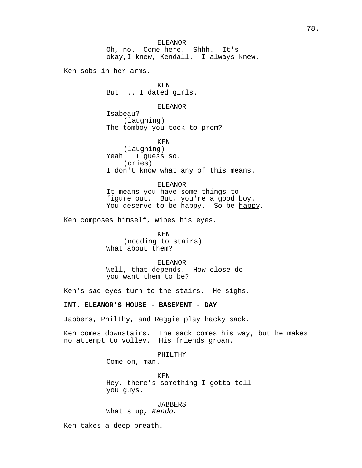Ken sobs in her arms.

KEN But ... I dated girls.

## ELEANOR

Isabeau? (laughing) The tomboy you took to prom?

KEN (laughing) Yeah. I guess so. (cries) I don't know what any of this means.

## ELEANOR

It means you have some things to figure out. But, you're a good boy. You deserve to be happy. So be happy.

Ken composes himself, wipes his eyes.

KEN (nodding to stairs) What about them?

ELEANOR Well, that depends. How close do you want them to be?

Ken's sad eyes turn to the stairs. He sighs.

## **INT. ELEANOR'S HOUSE - BASEMENT - DAY**

Jabbers, Philthy, and Reggie play hacky sack.

Ken comes downstairs. The sack comes his way, but he makes no attempt to volley. His friends groan.

## PHILTHY

Come on, man.

KEN Hey, there's something I gotta tell you guys.

#### JABBERS

What's up, Kendo.

Ken takes a deep breath.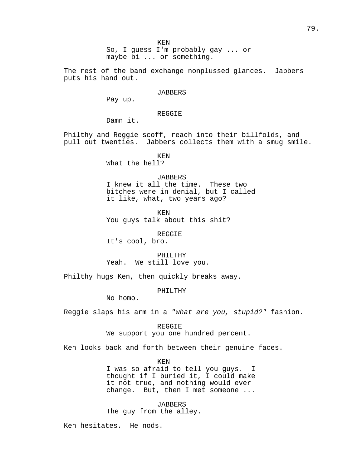So, I guess I'm probably gay ... or maybe bi ... or something.

The rest of the band exchange nonplussed glances. Jabbers puts his hand out.

### **JABBERS**

Pay up.

## REGGIE

Damn it.

Philthy and Reggie scoff, reach into their billfolds, and pull out twenties. Jabbers collects them with a smug smile.

KEN

What the hell?

#### JABBERS

I knew it all the time. These two bitches were in denial, but I called it like, what, two years ago?

KEN

You guys talk about this shit?

REGGIE

It's cool, bro.

PHILTHY Yeah. We still love you.

Philthy hugs Ken, then quickly breaks away.

PHILTHY

No homo.

Reggie slaps his arm in a "what are you, stupid?" fashion.

REGGIE We support you one hundred percent.

Ken looks back and forth between their genuine faces.

KEN

I was so afraid to tell you guys. I thought if I buried it, I could make it not true, and nothing would ever change. But, then I met someone ...

*JABBERS* The guy from the alley.

Ken hesitates. He nods.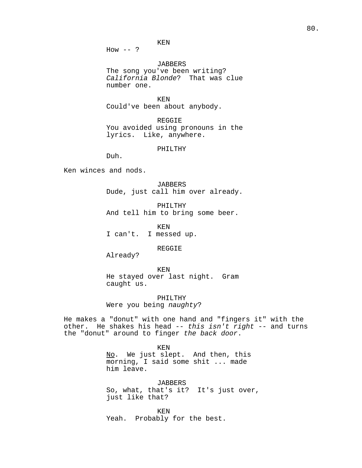$How -- ?$ 

JABBERS The song you've been writing? California Blonde? That was clue number one.

KEN Could've been about anybody.

REGGIE You avoided using pronouns in the lyrics. Like, anywhere.

PHILTHY

Duh.

Ken winces and nods.

JABBERS Dude, just call him over already.

PHILTHY And tell him to bring some beer.

KEN I can't. I messed up.

REGGIE

Already?

KEN He stayed over last night. Gram caught us.

PHILTHY Were you being naughty?

He makes a "donut" with one hand and "fingers it" with the other. He shakes his head  $-$ - this isn't right  $-$ - and turns the "donut" around to finger the back door.

KEN

No. We just slept. And then, this morning, I said some shit ... made him leave.

JABBERS So, what, that's it? It's just over, just like that?

KEN Yeah. Probably for the best.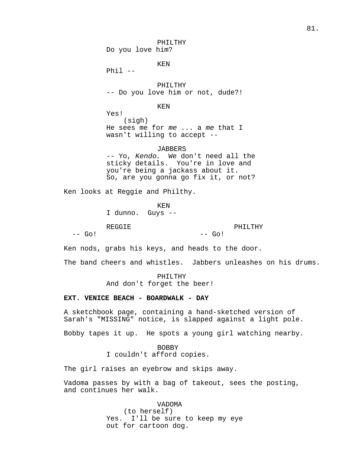PHILTHY Do you love him? KEN Phil -- PHILTHY -- Do you love him or not, dude?! KEN Yes! (sigh) He sees me for me ... a me that I wasn't willing to accept -- JABBERS -- Yo, Kendo. We don't need all the sticky details. You're in love and you're being a jackass about it. So, are you gonna go fix it, or not? Ken looks at Reggie and Philthy. KEN I dunno. Guys -- REGGIE  $--$  Go!  $--$  Go! Ken nods, grabs his keys, and heads to the door. The band cheers and whistles. Jabbers unleashes on his drums.

> PHILTHY And don't forget the beer!

#### **EXT. VENICE BEACH - BOARDWALK - DAY**

A sketchbook page, containing a hand-sketched version of Sarah's "MISSING" notice, is slapped against a light pole.

PHILTHY

Bobby tapes it up. He spots a young girl watching nearby.

BOBBY I couldn't afford copies.

The girl raises an eyebrow and skips away.

Vadoma passes by with a bag of takeout, sees the posting, and continues her walk.

> VADOMA (to herself) Yes. I'll be sure to keep my eye out for cartoon dog.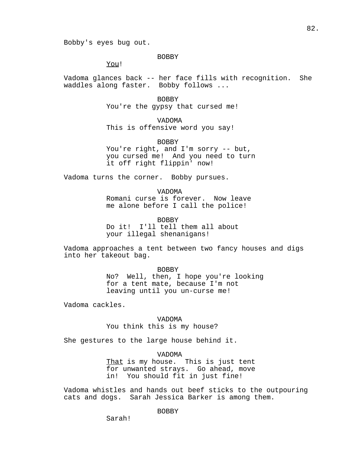Bobby's eyes bug out.

BOBBY

You!

Vadoma glances back -- her face fills with recognition. She waddles along faster. Bobby follows ...

> BOBBY You're the gypsy that cursed me!

VADOMA This is offensive word you say!

BOBBY You're right, and I'm sorry -- but, you cursed me! And you need to turn it off right flippin' now!

Vadoma turns the corner. Bobby pursues.

VADOMA Romani curse is forever. Now leave me alone before I call the police!

BOBBY Do it! I'll tell them all about your illegal shenanigans!

Vadoma approaches a tent between two fancy houses and digs into her takeout bag.

> BOBBY No? Well, then, I hope you're looking for a tent mate, because I'm not leaving until you un-curse me!

Vadoma cackles.

VADOMA You think this is my house?

She gestures to the large house behind it.

VADOMA

That is my house. This is just tent for unwanted strays. Go ahead, move in! You should fit in just fine!

Vadoma whistles and hands out beef sticks to the outpouring cats and dogs. Sarah Jessica Barker is among them.

BOBBY

Sarah!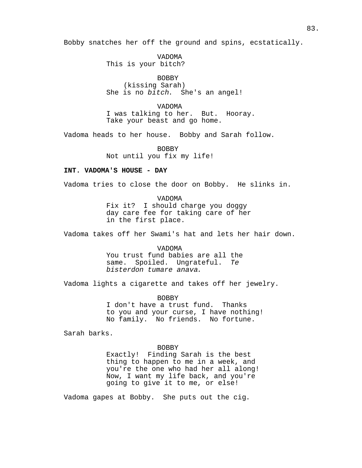Bobby snatches her off the ground and spins, ecstatically.

VADOMA This is your bitch?

BOBBY (kissing Sarah) She is no bitch. She's an angel!

VADOMA I was talking to her. But. Hooray. Take your beast and go home.

Vadoma heads to her house. Bobby and Sarah follow.

BOBBY Not until you fix my life!

## **INT. VADOMA'S HOUSE - DAY**

Vadoma tries to close the door on Bobby. He slinks in.

VADOMA Fix it? I should charge you doggy day care fee for taking care of her in the first place.

Vadoma takes off her Swami's hat and lets her hair down.

VADOMA You trust fund babies are all the same. Spoiled. Ungrateful. Te bisterdon tumare anava.

Vadoma lights a cigarette and takes off her jewelry.

BOBBY I don't have a trust fund. Thanks to you and your curse, I have nothing! No family. No friends. No fortune.

Sarah barks.

#### BOBBY

Exactly! Finding Sarah is the best thing to happen to me in a week, and you're the one who had her all along! Now, I want my life back, and you're going to give it to me, or else!

Vadoma gapes at Bobby. She puts out the cig.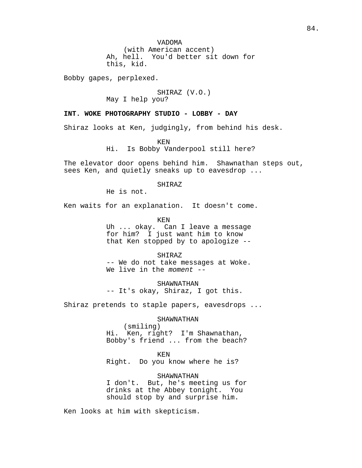(with American accent) Ah, hell. You'd better sit down for this, kid.

Bobby gapes, perplexed.

## SHIRAZ (V.O.)

May I help you?

## **INT. WOKE PHOTOGRAPHY STUDIO - LOBBY - DAY**

Shiraz looks at Ken, judgingly, from behind his desk.

KEN

Hi. Is Bobby Vanderpool still here?

The elevator door opens behind him. Shawnathan steps out, sees Ken, and quietly sneaks up to eavesdrop ...

SHIRAZ

He is not.

Ken waits for an explanation. It doesn't come.

KEN

Uh ... okay. Can I leave a message for him? I just want him to know that Ken stopped by to apologize --

SHIRAZ

-- We do not take messages at Woke. We live in the moment --

SHAWNATHAN -- It's okay, Shiraz, I got this.

Shiraz pretends to staple papers, eavesdrops ...

SHAWNATHAN

(smiling) Hi. Ken, right? I'm Shawnathan, Bobby's friend ... from the beach?

KEN Right. Do you know where he is?

SHAWNATHAN I don't. But, he's meeting us for drinks at the Abbey tonight. You should stop by and surprise him.

Ken looks at him with skepticism.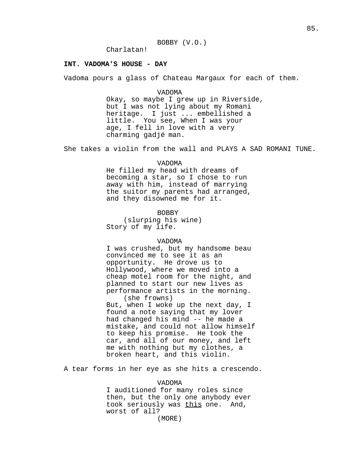Charlatan!

### **INT. VADOMA'S HOUSE - DAY**

Vadoma pours a glass of Chateau Margaux for each of them.

### VADOMA

Okay, so maybe I grew up in Riverside, but I was not lying about my Romani heritage. I just ... embellished a little. You see, When I was your age, I fell in love with a very charming gadjé man.

She takes a violin from the wall and PLAYS A SAD ROMANI TUNE.

#### VADOMA

He filled my head with dreams of becoming a star, so I chose to run away with him, instead of marrying the suitor my parents had arranged, and they disowned me for it.

BOBBY

(slurping his wine) Story of my life.

### VADOMA

I was crushed, but my handsome beau convinced me to see it as an opportunity. He drove us to Hollywood, where we moved into a cheap motel room for the night, and planned to start our new lives as performance artists in the morning. (she frowns) But, when I woke up the next day, I found a note saying that my lover had changed his mind -- he made a mistake, and could not allow himself to keep his promise. He took the car, and all of our money, and left me with nothing but my clothes, a broken heart, and this violin.

A tear forms in her eye as she hits a crescendo.

#### VADOMA

I auditioned for many roles since then, but the only one anybody ever took seriously was this one. And, worst of all?

(MORE)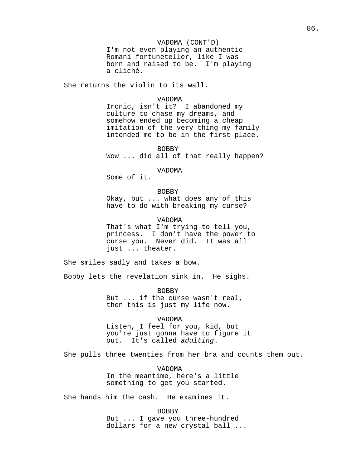#### VADOMA (CONT'D)

I'm not even playing an authentic Romani fortuneteller, like I was born and raised to be. I'm playing a cliché.

She returns the violin to its wall.

#### VADOMA

Ironic, isn't it? I abandoned my culture to chase my dreams, and somehow ended up becoming a cheap imitation of the very thing my family intended me to be in the first place.

BOBBY Wow ... did all of that really happen?

VADOMA

Some of it.

BOBBY

Okay, but ... what does any of this have to do with breaking my curse?

VADOMA

That's what I'm trying to tell you, princess. I don't have the power to curse you. Never did. It was all just ... theater.

She smiles sadly and takes a bow.

Bobby lets the revelation sink in. He sighs.

BOBBY But ... if the curse wasn't real, then this is just my life now.

VADOMA

Listen, I feel for you, kid, but you're just gonna have to figure it out. It's called adulting.

She pulls three twenties from her bra and counts them out.

VADOMA In the meantime, here's a little something to get you started.

She hands him the cash. He examines it.

BOBBY But ... I gave you three-hundred dollars for a new crystal ball ...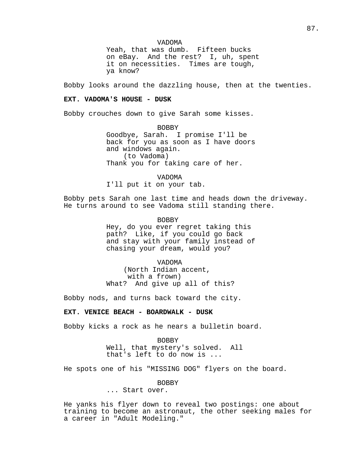VADOMA

Yeah, that was dumb. Fifteen bucks on eBay. And the rest? I, uh, spent it on necessities. Times are tough, ya know?

Bobby looks around the dazzling house, then at the twenties.

## **EXT. VADOMA'S HOUSE - DUSK**

Bobby crouches down to give Sarah some kisses.

BOBBY Goodbye, Sarah. I promise I'll be back for you as soon as I have doors and windows again. (to Vadoma) Thank you for taking care of her.

VADOMA I'll put it on your tab.

Bobby pets Sarah one last time and heads down the driveway. He turns around to see Vadoma still standing there.

> BOBBY Hey, do you ever regret taking this path? Like, if you could go back and stay with your family instead of chasing your dream, would you?

VADOMA (North Indian accent, with a frown) What? And give up all of this?

Bobby nods, and turns back toward the city.

## **EXT. VENICE BEACH - BOARDWALK - DUSK**

Bobby kicks a rock as he nears a bulletin board.

BOBBY Well, that mystery's solved. All that's left to do now is ...

He spots one of his "MISSING DOG" flyers on the board.

BOBBY

... Start over.

He yanks his flyer down to reveal two postings: one about training to become an astronaut, the other seeking males for a career in "Adult Modeling."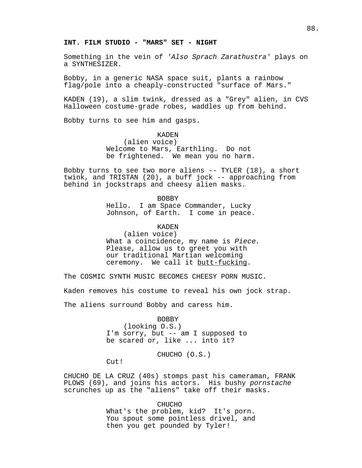### **INT. FILM STUDIO - "MARS" SET - NIGHT**

Something in the vein of 'Also Sprach Zarathustra' plays on a SYNTHESIZER.

Bobby, in a generic NASA space suit, plants a rainbow flag/pole into a cheaply-constructed "surface of Mars."

KADEN (19), a slim twink, dressed as a "Grey" alien, in CVS Halloween costume-grade robes, waddles up from behind.

Bobby turns to see him and gasps.

KADEN (alien voice) Welcome to Mars, Earthling. Do not be frightened. We mean you no harm.

Bobby turns to see two more aliens -- TYLER (18), a short twink, and TRISTAN (20), a buff jock -- approaching from behind in jockstraps and cheesy alien masks.

> BOBBY Hello. I am Space Commander, Lucky Johnson, of Earth. I come in peace.

> > KADEN

(alien voice) What a coincidence, my name is Piece. Please, allow us to greet you with our traditional Martian welcoming ceremony. We call it butt-fucking.

The COSMIC SYNTH MUSIC BECOMES CHEESY PORN MUSIC.

Kaden removes his costume to reveal his own jock strap.

The aliens surround Bobby and caress him.

BOBBY (looking O.S.) I'm sorry, but -- am I supposed to be scared or, like ... into it?

CHUCHO (O.S.)

Cut!

CHUCHO DE LA CRUZ (40s) stomps past his cameraman, FRANK PLOWS (69), and joins his actors. His bushy pornstache scrunches up as the "aliens" take off their masks.

> CHUCHO What's the problem, kid? It's porn. You spout some pointless drivel, and then you get pounded by Tyler!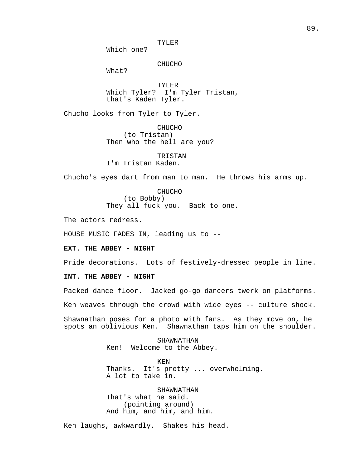TYLER

Which one?

#### CHUCHO

What?

TYLER Which Tyler? I'm Tyler Tristan, that's Kaden Tyler.

Chucho looks from Tyler to Tyler.

CHUCHO (to Tristan) Then who the hell are you?

## TRISTAN I'm Tristan Kaden.

Chucho's eyes dart from man to man. He throws his arms up.

CHUCHO (to Bobby) They all fuck you. Back to one.

The actors redress.

HOUSE MUSIC FADES IN, leading us to --

**EXT. THE ABBEY - NIGHT**

Pride decorations. Lots of festively-dressed people in line.

## **INT. THE ABBEY - NIGHT**

Packed dance floor. Jacked go-go dancers twerk on platforms.

Ken weaves through the crowd with wide eyes -- culture shock.

Shawnathan poses for a photo with fans. As they move on, he spots an oblivious Ken. Shawnathan taps him on the shoulder.

> SHAWNATHAN Ken! Welcome to the Abbey.

KEN Thanks. It's pretty ... overwhelming. A lot to take in.

SHAWNATHAN That's what he said. (pointing around) And him, and him, and him.

Ken laughs, awkwardly. Shakes his head.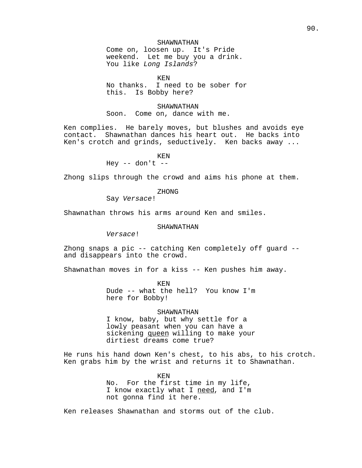## SHAWNATHAN

Come on, loosen up. It's Pride weekend. Let me buy you a drink. You like Long Islands?

KEN

No thanks. I need to be sober for this. Is Bobby here?

SHAWNATHAN Soon. Come on, dance with me.

Ken complies. He barely moves, but blushes and avoids eye contact. Shawnathan dances his heart out. He backs into Ken's crotch and grinds, seductively. Ken backs away ...

KEN

Hey  $--$  don't  $--$ 

Zhong slips through the crowd and aims his phone at them.

ZHONG

Say Versace!

Shawnathan throws his arms around Ken and smiles.

## SHAWNATHAN

Versace!

Zhong snaps a pic -- catching Ken completely off guard - and disappears into the crowd.

Shawnathan moves in for a kiss -- Ken pushes him away.

KEN Dude -- what the hell? You know I'm here for Bobby!

### SHAWNATHAN

I know, baby, but why settle for a lowly peasant when you can have a sickening queen willing to make your dirtiest dreams come true?

He runs his hand down Ken's chest, to his abs, to his crotch. Ken grabs him by the wrist and returns it to Shawnathan.

> KEN No. For the first time in my life, I know exactly what I need, and I'm not gonna find it here.

Ken releases Shawnathan and storms out of the club.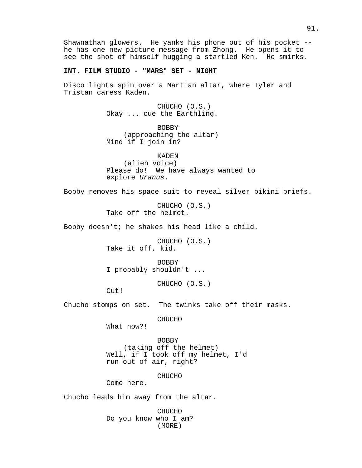Shawnathan glowers. He yanks his phone out of his pocket - he has one new picture message from Zhong. He opens it to see the shot of himself hugging a startled Ken. He smirks.

## **INT. FILM STUDIO - "MARS" SET - NIGHT**

Disco lights spin over a Martian altar, where Tyler and Tristan caress Kaden.

> CHUCHO (O.S.) Okay ... cue the Earthling.

> BOBBY (approaching the altar) Mind if I join in?

KADEN (alien voice) Please do! We have always wanted to explore Uranus.

Bobby removes his space suit to reveal silver bikini briefs.

CHUCHO (O.S.) Take off the helmet.

Bobby doesn't; he shakes his head like a child.

CHUCHO (O.S.) Take it off, kid.

BOBBY I probably shouldn't ...

CHUCHO (O.S.)

Cut!

Chucho stomps on set. The twinks take off their masks.

CHUCHO

What now?!

BOBBY (taking off the helmet) Well, if I took off my helmet, I'd run out of air, right?

CHUCHO

Come here.

Chucho leads him away from the altar.

CHUCHO Do you know who I am? (MORE)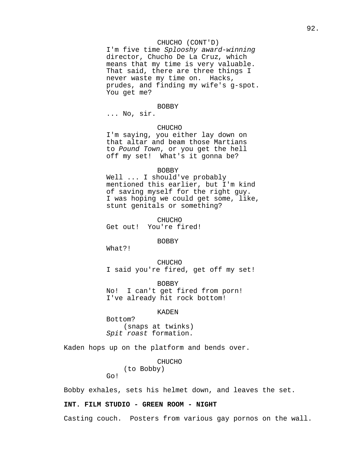## CHUCHO (CONT'D)

I'm five time Splooshy award-winning director, Chucho De La Cruz, which means that my time is very valuable. That said, there are three things I never waste my time on. Hacks, prudes, and finding my wife's g-spot. You get me?

## BOBBY

... No, sir.

#### CHUCHO

I'm saying, you either lay down on that altar and beam those Martians to Pound Town, or you get the hell off my set! What's it gonna be?

#### BOBBY

Well ... I should've probably mentioned this earlier, but I'm kind of saving myself for the right guy. I was hoping we could get some, like, stunt genitals or something?

CHUCHO Get out! You're fired!

BOBBY

What?!

Go!

CHUCHO I said you're fired, get off my set!

BOBBY No! I can't get fired from porn! I've already hit rock bottom!

## KADEN

Bottom? (snaps at twinks) Spit roast formation.

Kaden hops up on the platform and bends over.

CHUCHO (to Bobby)

Bobby exhales, sets his helmet down, and leaves the set.

## **INT. FILM STUDIO - GREEN ROOM - NIGHT**

Casting couch. Posters from various gay pornos on the wall.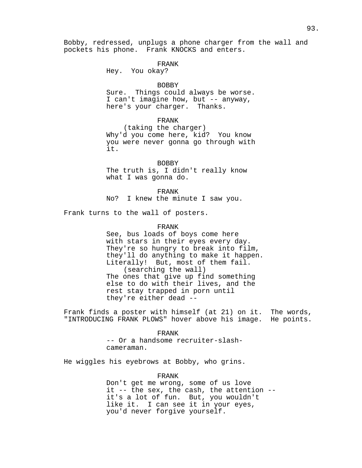Bobby, redressed, unplugs a phone charger from the wall and pockets his phone. Frank KNOCKS and enters.

#### FRANK

Hey. You okay?

#### BOBBY

Sure. Things could always be worse. I can't imagine how, but -- anyway, here's your charger. Thanks.

## FRANK

(taking the charger) Why'd you come here, kid? You know you were never gonna go through with it.

BOBBY The truth is, I didn't really know what I was gonna do.

#### FRANK

No? I knew the minute I saw you.

Frank turns to the wall of posters.

## FRANK

See, bus loads of boys come here with stars in their eyes every day. They're so hungry to break into film, they'll do anything to make it happen. Literally! But, most of them fail. (searching the wall) The ones that give up find something else to do with their lives, and the rest stay trapped in porn until they're either dead --

Frank finds a poster with himself (at 21) on it. The words, "INTRODUCING FRANK PLOWS" hover above his image. He points.

## FRANK -- Or a handsome recruiter-slashcameraman.

He wiggles his eyebrows at Bobby, who grins.

## FRANK

Don't get me wrong, some of us love it -- the sex, the cash, the attention - it's a lot of fun. But, you wouldn't like it. I can see it in your eyes, you'd never forgive yourself.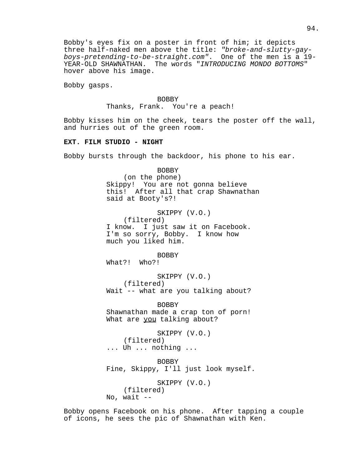Bobby's eyes fix on a poster in front of him; it depicts three half-naked men above the title: "broke-and-slutty-gayboys-pretending-to-be-straight.com". One of the men is a 19- YEAR-OLD SHAWNATHAN. The words "INTRODUCING MONDO BOTTOMS" hover above his image.

Bobby gasps.

BOBBY Thanks, Frank. You're a peach!

Bobby kisses him on the cheek, tears the poster off the wall, and hurries out of the green room.

### **EXT. FILM STUDIO - NIGHT**

Bobby bursts through the backdoor, his phone to his ear.

BOBBY

(on the phone) Skippy! You are not gonna believe this! After all that crap Shawnathan said at Booty's?! SKIPPY (V.O.) (filtered) I know. I just saw it on Facebook. I'm so sorry, Bobby. I know how much you liked him. BOBBY What?! Who?! SKIPPY (V.O.) (filtered) Wait -- what are you talking about? BOBBY Shawnathan made a crap ton of porn! What are you talking about? SKIPPY (V.O.) (filtered) ... Uh ... nothing ... BOBBY Fine, Skippy, I'll just look myself. SKIPPY (V.O.)

Bobby opens Facebook on his phone. After tapping a couple of icons, he sees the pic of Shawnathan with Ken.

(filtered)

No, wait  $-$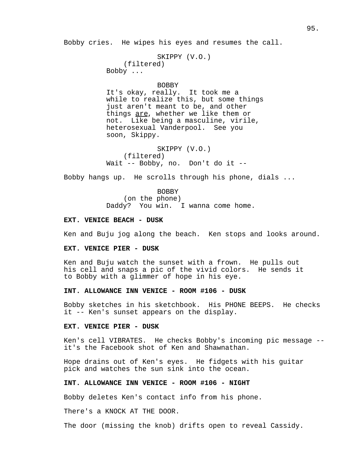Bobby cries. He wipes his eyes and resumes the call.

```
SKIPPY (V.O.)
    (filtered)
Bobby ...
```
#### BOBBY

It's okay, really. It took me a while to realize this, but some things just aren't meant to be, and other things are, whether we like them or not. Like being a masculine, virile, heterosexual Vanderpool. See you soon, Skippy.

SKIPPY (V.O.) (filtered) Wait -- Bobby, no. Don't do it --

Bobby hangs up. He scrolls through his phone, dials ...

BOBBY (on the phone) Daddy? You win. I wanna come home.

#### **EXT. VENICE BEACH - DUSK**

Ken and Buju jog along the beach. Ken stops and looks around.

### **EXT. VENICE PIER - DUSK**

Ken and Buju watch the sunset with a frown. He pulls out his cell and snaps a pic of the vivid colors. He sends it to Bobby with a glimmer of hope in his eye.

## **INT. ALLOWANCE INN VENICE - ROOM #106 - DUSK**

Bobby sketches in his sketchbook. His PHONE BEEPS. He checks it -- Ken's sunset appears on the display.

## **EXT. VENICE PIER - DUSK**

Ken's cell VIBRATES. He checks Bobby's incoming pic message - it's the Facebook shot of Ken and Shawnathan.

Hope drains out of Ken's eyes. He fidgets with his guitar pick and watches the sun sink into the ocean.

## **INT. ALLOWANCE INN VENICE - ROOM #106 - NIGHT**

Bobby deletes Ken's contact info from his phone.

There's a KNOCK AT THE DOOR.

The door (missing the knob) drifts open to reveal Cassidy.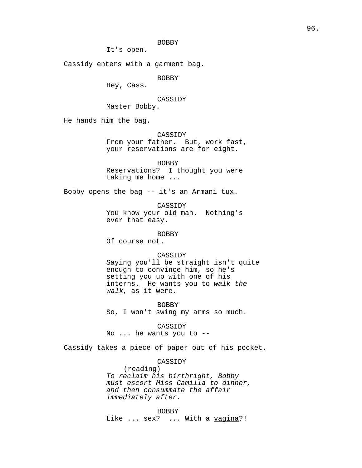## BOBBY

It's open.

Cassidy enters with a garment bag.

BOBBY

Hey, Cass.

CASSIDY

Master Bobby.

He hands him the bag.

CASSIDY

From your father. But, work fast, your reservations are for eight.

BOBBY Reservations? I thought you were taking me home ...

Bobby opens the bag -- it's an Armani tux.

CASSIDY You know your old man. Nothing's ever that easy.

BOBBY

Of course not.

## CASSIDY

Saying you'll be straight isn't quite enough to convince him, so he's setting you up with one of his interns. He wants you to walk the walk, as it were.

BOBBY So, I won't swing my arms so much.

CASSIDY

No ... he wants you to --

Cassidy takes a piece of paper out of his pocket.

## CASSIDY

(reading) To reclaim his birthright, Bobby must escort Miss Camilla to dinner, and then consummate the affair immediately after.

BOBBY Like ... sex? ... With a vagina?!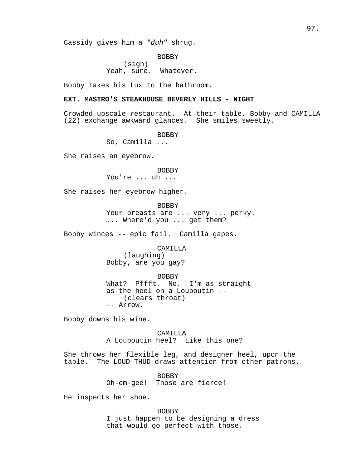Cassidy gives him a "duh" shrug.

BOBBY (sigh) Yeah, sure. Whatever.

Bobby takes his tux to the bathroom.

## **EXT. MASTRO'S STEAKHOUSE BEVERLY HILLS - NIGHT**

Crowded upscale restaurant. At their table, Bobby and CAMILLA (22) exchange awkward glances. She smiles sweetly.

BOBBY

So, Camilla ...

She raises an eyebrow.

#### **BOBBY**

You're ... uh ...

She raises her eyebrow higher.

BOBBY Your breasts are ... very ... perky. ... Where'd you ... get them?

Bobby winces -- epic fail. Camilla gapes.

CAMILLA

(laughing) Bobby, are you gay?

BOBBY What? Pffft. No. I'm as straight as the heel on a Louboutin -- (clears throat) -- Arrow.

Bobby downs his wine.

CAMILLA A Louboutin heel? Like this one?

She throws her flexible leg, and designer heel, upon the table. The LOUD THUD draws attention from other patrons.

> BOBBY Oh-em-gee! Those are fierce!

He inspects her shoe.

BOBBY I just happen to be designing a dress that would go perfect with those.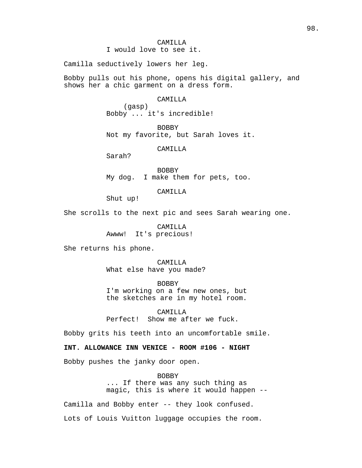Camilla seductively lowers her leg.

Bobby pulls out his phone, opens his digital gallery, and shows her a chic garment on a dress form.

## CAMILLA

(gasp) Bobby ... it's incredible!

BOBBY Not my favorite, but Sarah loves it.

CAMILLA

Sarah?

BOBBY My dog. I make them for pets, too.

CAMILLA

Shut up!

She scrolls to the next pic and sees Sarah wearing one.

CAMILLA Awww! It's precious!

She returns his phone.

CAMILLA What else have you made?

BOBBY I'm working on a few new ones, but the sketches are in my hotel room.

CAMILLA Perfect! Show me after we fuck.

Bobby grits his teeth into an uncomfortable smile.

## **INT. ALLOWANCE INN VENICE - ROOM #106 - NIGHT**

Bobby pushes the janky door open.

BOBBY ... If there was any such thing as magic, this is where it would happen --

Camilla and Bobby enter -- they look confused.

Lots of Louis Vuitton luggage occupies the room.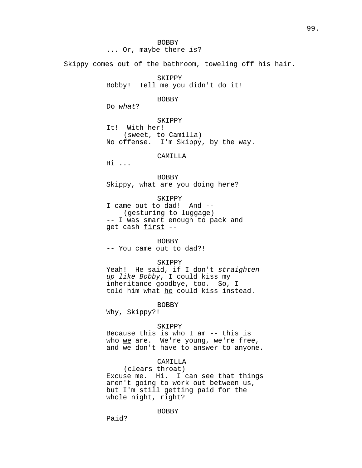BOBBY ... Or, maybe there is?

Skippy comes out of the bathroom, toweling off his hair.

SKIPPY Bobby! Tell me you didn't do it!

BOBBY

Do what?

SKIPPY It! With her! (sweet, to Camilla) No offense. I'm Skippy, by the way.

CAMILLA

Hi ...

BOBBY Skippy, what are you doing here?

SKIPPY I came out to dad! And -- (gesturing to luggage) -- I was smart enough to pack and get cash first --

BOBBY -- You came out to dad?!

SKIPPY

Yeah! He said, if I don't straighten up like Bobby, I could kiss my inheritance goodbye, too. So, I told him what he could kiss instead.

BOBBY

Why, Skippy?!

### **SKIPPY**

Because this is who I am -- this is who we are. We're young, we're free, and we don't have to answer to anyone.

## CAMILLA

(clears throat) Excuse me. Hi. I can see that things aren't going to work out between us, but I'm still getting paid for the whole night, right?

BOBBY

99.

Paid?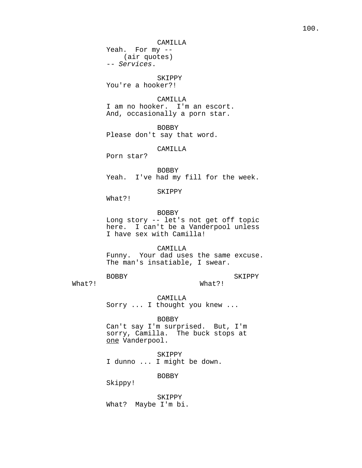CAMILLA

Yeah. For my -- (air quotes) -- Services.

SKIPPY You're a hooker?!

CAMILLA I am no hooker. I'm an escort. And, occasionally a porn star.

BOBBY Please don't say that word.

CAMILLA

Porn star?

BOBBY Yeah. I've had my fill for the week.

SKIPPY

What?!

BOBBY

Long story -- let's not get off topic here. I can't be a Vanderpool unless I have sex with Camilla!

CAMILLA

Funny. Your dad uses the same excuse. The man's insatiable, I swear.

BOBBY

SKIPPY

What?!

What?!

CAMILLA Sorry ... I thought you knew ...

BOBBY Can't say I'm surprised. But, I'm sorry, Camilla. The buck stops at one Vanderpool.

SKIPPY I dunno ... I might be down.

BOBBY

Skippy!

SKIPPY What? Maybe I'm bi.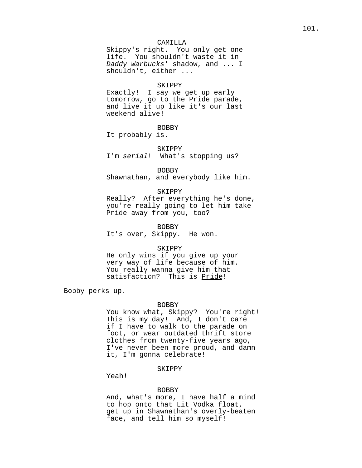## CAMILLA

Skippy's right. You only get one life. You shouldn't waste it in Daddy Warbucks' shadow, and ... I shouldn't, either ...

#### SKIPPY

Exactly! I say we get up early tomorrow, go to the Pride parade, and live it up like it's our last weekend alive!

#### BOBBY

It probably is.

## SKIPPY I'm serial! What's stopping us?

BOBBY Shawnathan, and everybody like him.

#### SKIPPY

Really? After everything he's done, you're really going to let him take Pride away from you, too?

BOBBY It's over, Skippy. He won.

### SKIPPY

He only wins if you give up your very way of life because of him. You really wanna give him that satisfaction? This is Pride!

Bobby perks up.

### BOBBY

You know what, Skippy? You're right! This is  $my$  day! And, I don't care if I have to walk to the parade on foot, or wear outdated thrift store clothes from twenty-five years ago, I've never been more proud, and damn it, I'm gonna celebrate!

## SKIPPY

Yeah!

#### BOBBY

And, what's more, I have half a mind to hop onto that Lit Vodka float, get up in Shawnathan's overly-beaten face, and tell him so myself!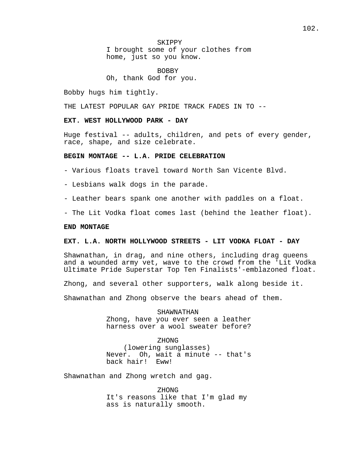SKIPPY I brought some of your clothes from home, just so you know.

BOBBY Oh, thank God for you.

Bobby hugs him tightly.

THE LATEST POPULAR GAY PRIDE TRACK FADES IN TO --

## **EXT. WEST HOLLYWOOD PARK - DAY**

Huge festival -- adults, children, and pets of every gender, race, shape, and size celebrate.

## **BEGIN MONTAGE -- L.A. PRIDE CELEBRATION**

- Various floats travel toward North San Vicente Blvd.

- Lesbians walk dogs in the parade.

- Leather bears spank one another with paddles on a float.
- The Lit Vodka float comes last (behind the leather float).

### **END MONTAGE**

## **EXT. L.A. NORTH HOLLYWOOD STREETS - LIT VODKA FLOAT - DAY**

Shawnathan, in drag, and nine others, including drag queens and a wounded army vet, wave to the crowd from the 'Lit Vodka Ultimate Pride Superstar Top Ten Finalists'-emblazoned float.

Zhong, and several other supporters, walk along beside it.

Shawnathan and Zhong observe the bears ahead of them.

SHAWNATHAN Zhong, have you ever seen a leather harness over a wool sweater before?

ZHONG (lowering sunglasses) Never. Oh, wait a minute -- that's<br>back hair! Eww! back hair!

Shawnathan and Zhong wretch and gag.

ZHONG It's reasons like that I'm glad my ass is naturally smooth.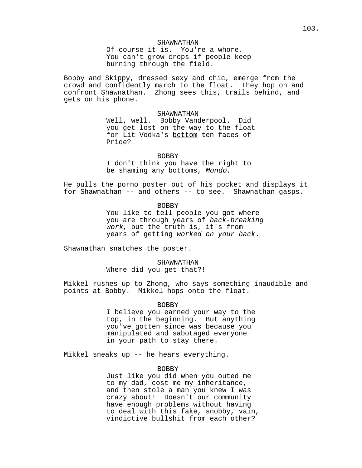SHAWNATHAN Of course it is. You're a whore. You can't grow crops if people keep burning through the field.

Bobby and Skippy, dressed sexy and chic, emerge from the crowd and confidently march to the float. They hop on and confront Shawnathan. Zhong sees this, trails behind, and gets on his phone.

> SHAWNATHAN Well, well. Bobby Vanderpool. Did you get lost on the way to the float for Lit Vodka's bottom ten faces of Pride?

> > BOBBY

I don't think you have the right to be shaming any bottoms, Mondo.

He pulls the porno poster out of his pocket and displays it for Shawnathan -- and others -- to see. Shawnathan gasps.

BOBBY

You like to tell people you got where you are through years of back-breaking work, but the truth is, it's from years of getting worked on your back.

Shawnathan snatches the poster.

SHAWNATHAN Where did you get that?!

Mikkel rushes up to Zhong, who says something inaudible and points at Bobby. Mikkel hops onto the float.

BOBBY

I believe you earned your way to the top, in the beginning. But anything you've gotten since was because you manipulated and sabotaged everyone in your path to stay there.

Mikkel sneaks up -- he hears everything.

#### BOBBY

Just like you did when you outed me to my dad, cost me my inheritance, and then stole a man you knew I was crazy about! Doesn't our community have enough problems without having to deal with this fake, snobby, vain, vindictive bullshit from each other?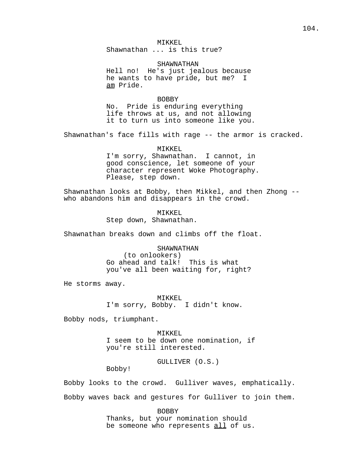MIKKEL Shawnathan ... is this true?

SHAWNATHAN Hell no! He's just jealous because he wants to have pride, but me? I am Pride.

#### BOBBY

No. Pride is enduring everything life throws at us, and not allowing it to turn us into someone like you.

Shawnathan's face fills with rage -- the armor is cracked.

MIKKEL I'm sorry, Shawnathan. I cannot, in good conscience, let someone of your character represent Woke Photography. Please, step down.

Shawnathan looks at Bobby, then Mikkel, and then Zhong - who abandons him and disappears in the crowd.

> MTKKEL. Step down, Shawnathan.

Shawnathan breaks down and climbs off the float.

# SHAWNATHAN

(to onlookers) Go ahead and talk! This is what you've all been waiting for, right?

He storms away.

MIKKEL I'm sorry, Bobby. I didn't know.

Bobby nods, triumphant.

MIKKEL I seem to be down one nomination, if you're still interested.

GULLIVER (O.S.)

Bobby!

Bobby looks to the crowd. Gulliver waves, emphatically. Bobby waves back and gestures for Gulliver to join them.

> BOBBY Thanks, but your nomination should be someone who represents all of us.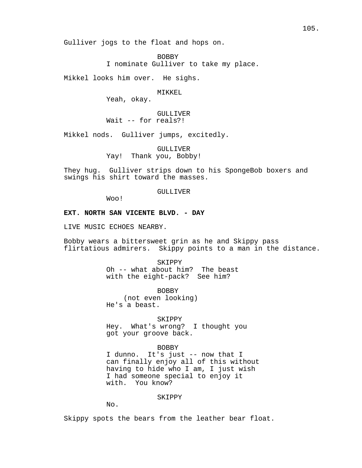Gulliver jogs to the float and hops on.

BOBBY

I nominate Gulliver to take my place.

Mikkel looks him over. He sighs.

MTKKEL.

Yeah, okay.

## GULLIVER

Wait -- for reals?!

Mikkel nods. Gulliver jumps, excitedly.

GULLIVER Yay! Thank you, Bobby!

They hug. Gulliver strips down to his SpongeBob boxers and swings his shirt toward the masses.

#### GULLIVER

Woo!

## **EXT. NORTH SAN VICENTE BLVD. - DAY**

LIVE MUSIC ECHOES NEARBY.

Bobby wears a bittersweet grin as he and Skippy pass flirtatious admirers. Skippy points to a man in the distance.

> **SKIPPY** Oh -- what about him? The beast with the eight-pack? See him?

> > BOBBY

(not even looking) He's a beast.

SKIPPY

Hey. What's wrong? I thought you got your groove back.

## BOBBY

I dunno. It's just -- now that I can finally enjoy all of this without having to hide who I am, I just wish I had someone special to enjoy it with. You know?

### SKIPPY

 $N_{\Omega}$ .

Skippy spots the bears from the leather bear float.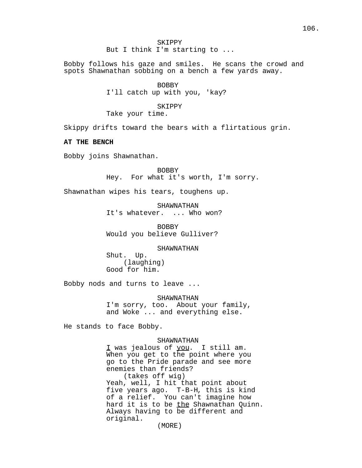Bobby follows his gaze and smiles. He scans the crowd and spots Shawnathan sobbing on a bench a few yards away.

> BOBBY I'll catch up with you, 'kay?

SKIPPY Take your time.

Skippy drifts toward the bears with a flirtatious grin.

## **AT THE BENCH**

Bobby joins Shawnathan.

BOBBY Hey. For what it's worth, I'm sorry.

Shawnathan wipes his tears, toughens up.

SHAWNATHAN It's whatever. ... Who won?

BOBBY Would you believe Gulliver?

#### SHAWNATHAN

Shut. Up. (laughing) Good for him.

Bobby nods and turns to leave ...

SHAWNATHAN I'm sorry, too. About your family, and Woke ... and everything else.

He stands to face Bobby.

### SHAWNATHAN

I was jealous of you. I still am. When you get to the point where you go to the Pride parade and see more enemies than friends? (takes off wig) Yeah, well, I hit that point about five years ago. T-B-H, this is kind of a relief. You can't imagine how hard it is to be the Shawnathan Quinn. Always having to be different and original.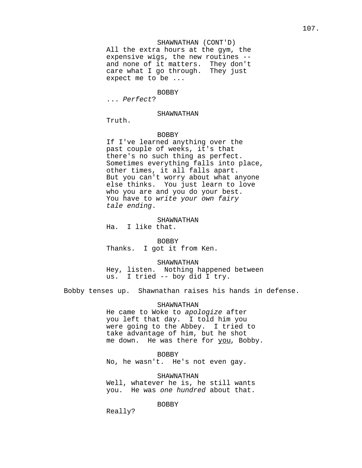## SHAWNATHAN (CONT'D)

All the extra hours at the gym, the expensive wigs, the new routines - and none of it matters. They don't care what I go through. They just expect me to be ...

#### BOBBY

... Perfect?

### SHAWNATHAN

Truth.

## BOBBY

If I've learned anything over the past couple of weeks, it's that there's no such thing as perfect. Sometimes everything falls into place, other times, it all falls apart. But you can't worry about what anyone else thinks. You just learn to love who you are and you do your best. You have to write your own fairy tale ending.

### SHAWNATHAN

Ha. I like that.

BOBBY Thanks. I got it from Ken.

SHAWNATHAN

Hey, listen. Nothing happened between us. I tried -- boy did I try.

Bobby tenses up. Shawnathan raises his hands in defense.

SHAWNATHAN

He came to Woke to apologize after you left that day. I told him you were going to the Abbey. I tried to take advantage of him, but he shot me down. He was there for you, Bobby.

BOBBY No, he wasn't. He's not even gay.

SHAWNATHAN Well, whatever he is, he still wants you. He was one hundred about that.

BOBBY

Really?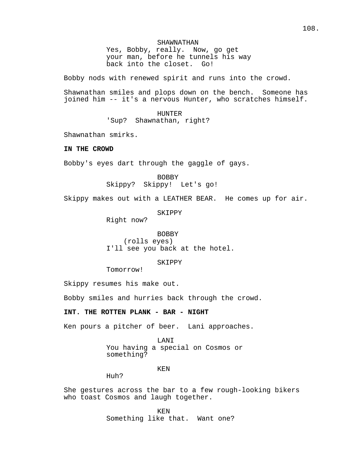SHAWNATHAN Yes, Bobby, really. Now, go get your man, before he tunnels his way back into the closet. Go!

Bobby nods with renewed spirit and runs into the crowd.

Shawnathan smiles and plops down on the bench. Someone has joined him -- it's a nervous Hunter, who scratches himself.

### HUNTER

'Sup? Shawnathan, right?

Shawnathan smirks.

## **IN THE CROWD**

Bobby's eyes dart through the gaggle of gays.

BOBBY Skippy? Skippy! Let's go!

Skippy makes out with a LEATHER BEAR. He comes up for air.

SKIPPY

Right now?

BOBBY (rolls eyes) I'll see you back at the hotel.

## SKIPPY

Tomorrow!

Skippy resumes his make out.

Bobby smiles and hurries back through the crowd.

# **INT. THE ROTTEN PLANK - BAR - NIGHT**

Ken pours a pitcher of beer. Lani approaches.

## LANI

You having a special on Cosmos or something?

### KEN

Huh?

She gestures across the bar to a few rough-looking bikers who toast Cosmos and laugh together.

> KEN Something like that. Want one?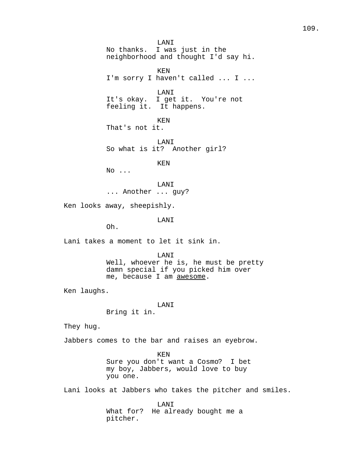LANI No thanks. I was just in the neighborhood and thought I'd say hi. KEN I'm sorry I haven't called ... I ... LANI It's okay. I get it. You're not feeling it. It happens. KEN That's not it. LANI So what is it? Another girl? KEN No ... LANI ... Another ... guy? Ken looks away, sheepishly. LANI Oh. Lani takes a moment to let it sink in. LANI Well, whoever he is, he must be pretty damn special if you picked him over me, because I am awesome. Ken laughs. LANI Bring it in. They hug. Jabbers comes to the bar and raises an eyebrow. KEN Sure you don't want a Cosmo? I bet my boy, Jabbers, would love to buy you one.

Lani looks at Jabbers who takes the pitcher and smiles.

LANI What for? He already bought me a pitcher.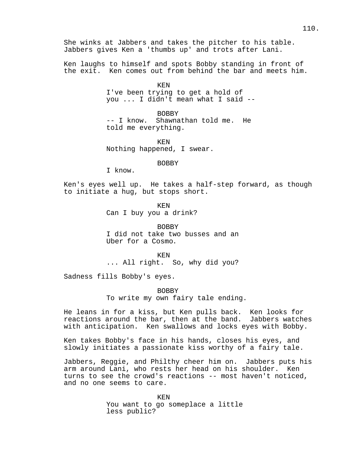She winks at Jabbers and takes the pitcher to his table. Jabbers gives Ken a 'thumbs up' and trots after Lani.

Ken laughs to himself and spots Bobby standing in front of the exit. Ken comes out from behind the bar and meets him.

> KEN I've been trying to get a hold of you ... I didn't mean what I said --

BOBBY -- I know. Shawnathan told me. He told me everything.

KEN Nothing happened, I swear.

BOBBY

I know.

Ken's eyes well up. He takes a half-step forward, as though to initiate a hug, but stops short.

> KEN Can I buy you a drink?

BOBBY I did not take two busses and an Uber for a Cosmo.

KEN ... All right. So, why did you?

Sadness fills Bobby's eyes.

BOBBY To write my own fairy tale ending.

He leans in for a kiss, but Ken pulls back. Ken looks for reactions around the bar, then at the band. Jabbers watches with anticipation. Ken swallows and locks eyes with Bobby.

Ken takes Bobby's face in his hands, closes his eyes, and slowly initiates a passionate kiss worthy of a fairy tale.

Jabbers, Reggie, and Philthy cheer him on. Jabbers puts his arm around Lani, who rests her head on his shoulder. Ken turns to see the crowd's reactions -- most haven't noticed, and no one seems to care.

> KEN You want to go someplace a little less public?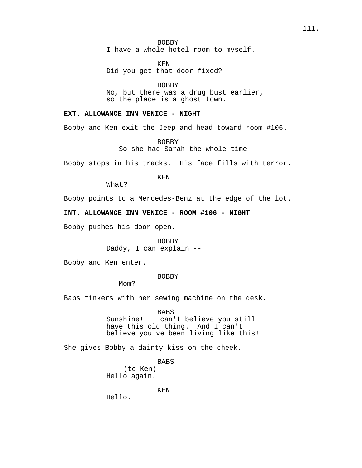BOBBY I have a whole hotel room to myself.

KEN Did you get that door fixed?

BOBBY No, but there was a drug bust earlier, so the place is a ghost town.

# **EXT. ALLOWANCE INN VENICE - NIGHT**

Bobby and Ken exit the Jeep and head toward room #106.

BOBBY -- So she had Sarah the whole time --

Bobby stops in his tracks. His face fills with terror.

KEN

What?

Bobby points to a Mercedes-Benz at the edge of the lot.

# **INT. ALLOWANCE INN VENICE - ROOM #106 - NIGHT**

Bobby pushes his door open.

BOBBY Daddy, I can explain --

Bobby and Ken enter.

## BOBBY

 $--$  Mom?

Babs tinkers with her sewing machine on the desk.

BABS

Sunshine! I can't believe you still have this old thing. And I can't believe you've been living like this!

She gives Bobby a dainty kiss on the cheek.

BABS

(to Ken) Hello again.

KEN

Hello.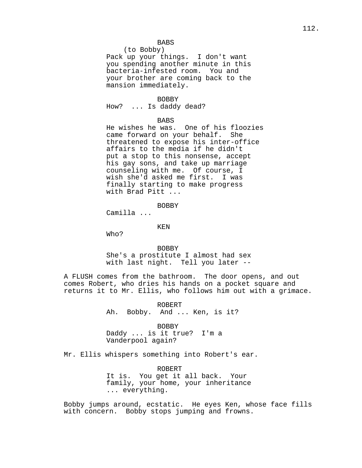## BABS

(to Bobby)

Pack up your things. I don't want you spending another minute in this bacteria-infested room. You and your brother are coming back to the mansion immediately.

#### BOBBY

How? ... Is daddy dead?

### BABS

He wishes he was. One of his floozies came forward on your behalf. She threatened to expose his inter-office affairs to the media if he didn't put a stop to this nonsense, accept his gay sons, and take up marriage counseling with me. Of course, I wish she'd asked me first. I was finally starting to make progress with Brad Pitt ...

### BOBBY

Camilla ...

#### KEN

Who?

#### BOBBY

She's a prostitute I almost had sex with last night. Tell you later --

A FLUSH comes from the bathroom. The door opens, and out comes Robert, who dries his hands on a pocket square and returns it to Mr. Ellis, who follows him out with a grimace.

> ROBERT Ah. Bobby. And ... Ken, is it?

#### BOBBY

Daddy ... is it true? I'm a Vanderpool again?

Mr. Ellis whispers something into Robert's ear.

ROBERT It is. You get it all back. Your family, your home, your inheritance ... everything.

Bobby jumps around, ecstatic. He eyes Ken, whose face fills with concern. Bobby stops jumping and frowns.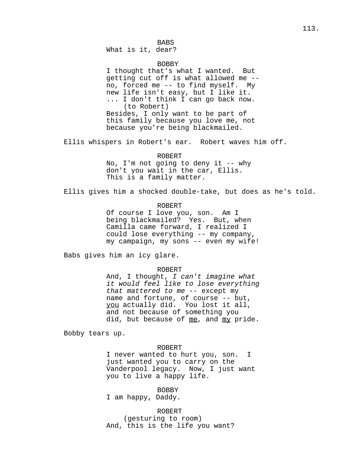BABS What is it, dear?

#### BOBBY

I thought that's what I wanted. But getting cut off is what allowed me - no, forced me -- to find myself. My new life isn't easy, but I like it. ... I don't think I can go back now. (to Robert) Besides, I only want to be part of this family because you love me, not because you're being blackmailed.

Ellis whispers in Robert's ear. Robert waves him off.

### ROBERT

No, I'm not going to deny it -- why don't you wait in the car, Ellis. This is a family matter.

Ellis gives him a shocked double-take, but does as he's told.

#### ROBERT

Of course I love you, son. Am I being blackmailed? Yes. But, when Camilla came forward, I realized I could lose everything -- my company, my campaign, my sons -- even my wife!

Babs gives him an icy glare.

#### ROBERT

And, I thought, I can't imagine what it would feel like to lose everything that mattered to me -- except my name and fortune, of course -- but, you actually did. You lost it all, and not because of something you did, but because of me, and my pride.

Bobby tears up.

#### ROBERT

I never wanted to hurt you, son. I just wanted you to carry on the Vanderpool legacy. Now, I just want you to live a happy life.

BOBBY

I am happy, Daddy.

ROBERT (gesturing to room) And, this is the life you want?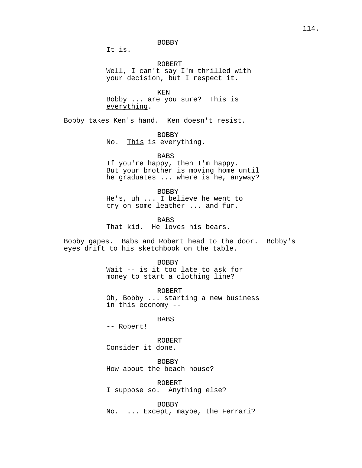## BOBBY

It is.

ROBERT Well, I can't say I'm thrilled with your decision, but I respect it.

KEN Bobby ... are you sure? This is everything.

Bobby takes Ken's hand. Ken doesn't resist.

BOBBY

No. This is everything.

### BABS

If you're happy, then I'm happy. But your brother is moving home until he graduates ... where is he, anyway?

BOBBY

He's, uh ... I believe he went to try on some leather ... and fur.

BABS

That kid. He loves his bears.

Bobby gapes. Babs and Robert head to the door. Bobby's eyes drift to his sketchbook on the table.

BOBBY

Wait -- is it too late to ask for money to start a clothing line?

ROBERT

Oh, Bobby ... starting a new business in this economy --

BABS

-- Robert!

ROBERT Consider it done.

BOBBY How about the beach house?

ROBERT I suppose so. Anything else?

BOBBY No. ... Except, maybe, the Ferrari?